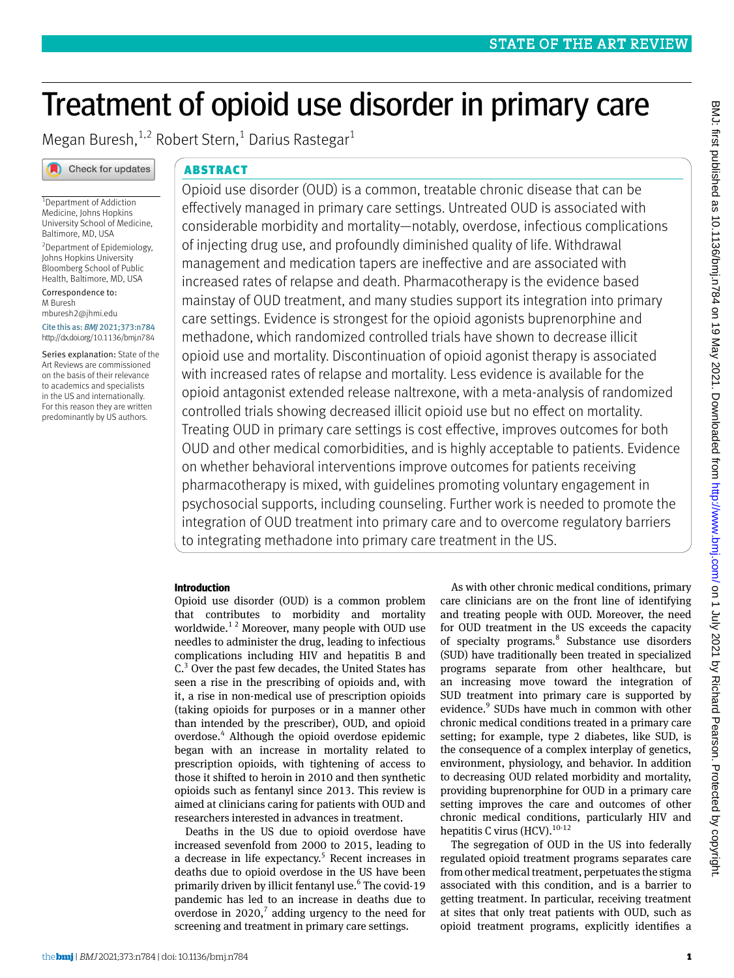# Treatment of opioid use disorder in primary care

Megan Buresh, $^{1,2}$  Robert Stern,<sup>1</sup> Darius Rastegar<sup>1</sup>



# ABSTRACT

1 Department of Addiction Medicine, Johns Hopkins University School of Medicine, Baltimore, MD, USA 2 Department of Epidemiology, Johns Hopkins University Bloomberg School of Public Health, Baltimore, MD, USA

Correspondence to: M Buresh [mburesh2@jhmi.edu](mailto:mburesh2@jhmi.edu) Cite this as: *BMJ* 2021;373:n784

http://dx.doi.org/10.1136/bmj.n784

Series explanation: State of the Art Reviews are commissioned on the basis of their relevance to academics and specialists in the US and internationally. For this reason they are written predominantly by US authors.

Opioid use disorder (OUD) is a common, treatable chronic disease that can be effectively managed in primary care settings. Untreated OUD is associated with considerable morbidity and mortality—notably, overdose, infectious complications of injecting drug use, and profoundly diminished quality of life. Withdrawal management and medication tapers are ineffective and are associated with increased rates of relapse and death. Pharmacotherapy is the evidence based mainstay of OUD treatment, and many studies support its integration into primary care settings. Evidence is strongest for the opioid agonists buprenorphine and methadone, which randomized controlled trials have shown to decrease illicit opioid use and mortality. Discontinuation of opioid agonist therapy is associated with increased rates of relapse and mortality. Less evidence is available for the opioid antagonist extended release naltrexone, with a meta-analysis of randomized controlled trials showing decreased illicit opioid use but no effect on mortality. Treating OUD in primary care settings is cost effective, improves outcomes for both OUD and other medical comorbidities, and is highly acceptable to patients. Evidence on whether behavioral interventions improve outcomes for patients receiving pharmacotherapy is mixed, with guidelines promoting voluntary engagement in psychosocial supports, including counseling. Further work is needed to promote the integration of OUD treatment into primary care and to overcome regulatory barriers to integrating methadone into primary care treatment in the US.

# **Introduction**

Opioid use disorder (OUD) is a common problem that contributes to morbidity and mortality worldwide.<sup>12</sup> Moreover, many people with OUD use needles to administer the drug, leading to infectious complications including HIV and hepatitis B and  $C<sup>3</sup>$  Over the past few decades, the United States has seen a rise in the prescribing of opioids and, with it, a rise in non-medical use of prescription opioids (taking opioids for purposes or in a manner other than intended by the prescriber), OUD, and opioid overdose.<sup>4</sup> Although the opioid overdose epidemic began with an increase in mortality related to prescription opioids, with tightening of access to those it shifted to heroin in 2010 and then synthetic opioids such as fentanyl since 2013. This review is aimed at clinicians caring for patients with OUD and researchers interested in advances in treatment.

Deaths in the US due to opioid overdose have increased sevenfold from 2000 to 2015, leading to a decrease in life expectancy.<sup>5</sup> Recent increases in deaths due to opioid overdose in the US have been primarily driven by illicit fentanyl use.<sup>6</sup> The covid-19 pandemic has led to an increase in deaths due to overdose in  $2020$ ,<sup>7</sup> adding urgency to the need for screening and treatment in primary care settings.

As with other chronic medical conditions, primary care clinicians are on the front line of identifying and treating people with OUD. Moreover, the need for OUD treatment in the US exceeds the capacity of specialty programs.<sup>8</sup> Substance use disorders (SUD) have traditionally been treated in specialized programs separate from other healthcare, but an increasing move toward the integration of SUD treatment into primary care is supported by evidence.<sup>9</sup> SUDs have much in common with other chronic medical conditions treated in a primary care setting; for example, type 2 diabetes, like SUD, is the consequence of a complex interplay of genetics, environment, physiology, and behavior. In addition to decreasing OUD related morbidity and mortality, providing buprenorphine for OUD in a primary care setting improves the care and outcomes of other chronic medical conditions, particularly HIV and hepatitis C virus (HCV).<sup>10-12</sup>

The segregation of OUD in the US into federally regulated opioid treatment programs separates care from other medical treatment, perpetuates the stigma associated with this condition, and is a barrier to getting treatment. In particular, receiving treatment at sites that only treat patients with OUD, such as opioid treatment programs, explicitly identifies a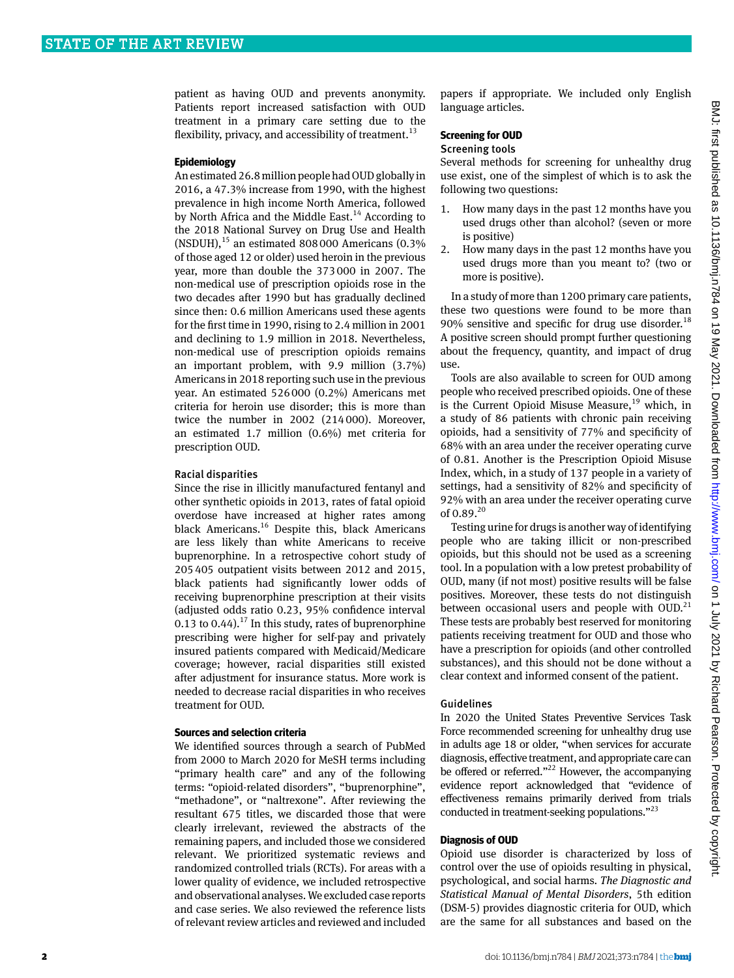patient as having OUD and prevents anonymity. Patients report increased satisfaction with OUD treatment in a primary care setting due to the flexibility, privacy, and accessibility of treatment.<sup>13</sup>

## **Epidemiology**

An estimated 26.8 million people had OUD globally in 2016, a 47.3% increase from 1990, with the highest prevalence in high income North America, followed by North Africa and the Middle East.<sup>14</sup> According to the 2018 National Survey on Drug Use and Health  $(NSDUH)$ ,<sup>15</sup> an estimated 808000 Americans  $(0.3\%$ of those aged 12 or older) used heroin in the previous year, more than double the 373000 in 2007. The non-medical use of prescription opioids rose in the two decades after 1990 but has gradually declined since then: 0.6 million Americans used these agents for the first time in 1990, rising to 2.4 million in 2001 and declining to 1.9 million in 2018. Nevertheless, non-medical use of prescription opioids remains an important problem, with 9.9 million (3.7%) Americans in 2018 reporting such use in the previous year. An estimated 526000 (0.2%) Americans met criteria for heroin use disorder; this is more than twice the number in 2002 (214000). Moreover, an estimated 1.7 million (0.6%) met criteria for prescription OUD.

## Racial disparities

Since the rise in illicitly manufactured fentanyl and other synthetic opioids in 2013, rates of fatal opioid overdose have increased at higher rates among black Americans.<sup>16</sup> Despite this, black Americans are less likely than white Americans to receive buprenorphine. In a retrospective cohort study of 205405 outpatient visits between 2012 and 2015, black patients had significantly lower odds of receiving buprenorphine prescription at their visits (adjusted odds ratio 0.23, 95% confidence interval 0.13 to 0.44).<sup>17</sup> In this study, rates of buprenorphine prescribing were higher for self-pay and privately insured patients compared with Medicaid/Medicare coverage; however, racial disparities still existed after adjustment for insurance status. More work is needed to decrease racial disparities in who receives treatment for OUD.

## **Sources and selection criteria**

We identified sources through a search of PubMed from 2000 to March 2020 for MeSH terms including "primary health care" and any of the following terms: "opioid-related disorders", "buprenorphine", "methadone", or "naltrexone". After reviewing the resultant 675 titles, we discarded those that were clearly irrelevant, reviewed the abstracts of the remaining papers, and included those we considered relevant. We prioritized systematic reviews and randomized controlled trials (RCTs). For areas with a lower quality of evidence, we included retrospective and observational analyses. We excluded case reports and case series. We also reviewed the reference lists of relevant review articles and reviewed and included

papers if appropriate. We included only English language articles.

# **Screening for OUD**

## Screening tools

Several methods for screening for unhealthy drug use exist, one of the simplest of which is to ask the following two questions:

- 1. How many days in the past 12 months have you used drugs other than alcohol? (seven or more is positive)
- 2. How many days in the past 12 months have you used drugs more than you meant to? (two or more is positive).

In a study of more than 1200 primary care patients, these two questions were found to be more than 90% sensitive and specific for drug use disorder.<sup>18</sup> A positive screen should prompt further questioning about the frequency, quantity, and impact of drug use.

Tools are also available to screen for OUD among people who received prescribed opioids. One of these is the Current Opioid Misuse Measure, $19$  which, in a study of 86 patients with chronic pain receiving opioids, had a sensitivity of 77% and specificity of 68% with an area under the receiver operating curve of 0.81. Another is the Prescription Opioid Misuse Index, which, in a study of 137 people in a variety of settings, had a sensitivity of 82% and specificity of 92% with an area under the receiver operating curve of 0.89.<sup>20</sup>

Testing urine for drugs is another way of identifying people who are taking illicit or non-prescribed opioids, but this should not be used as a screening tool. In a population with a low pretest probability of OUD, many (if not most) positive results will be false positives. Moreover, these tests do not distinguish between occasional users and people with  $OUD<sup>21</sup>$ These tests are probably best reserved for monitoring patients receiving treatment for OUD and those who have a prescription for opioids (and other controlled substances), and this should not be done without a clear context and informed consent of the patient.

## Guidelines

In 2020 the United States Preventive Services Task Force recommended screening for unhealthy drug use in adults age 18 or older, "when services for accurate diagnosis, effective treatment, and appropriate care can be offered or referred."<sup>22</sup> However, the accompanying evidence report acknowledged that "evidence of effectiveness remains primarily derived from trials conducted in treatment-seeking populations."23

## **Diagnosis of OUD**

Opioid use disorder is characterized by loss of control over the use of opioids resulting in physical, psychological, and social harms. *The Diagnostic and Statistical Manual of Mental Disorders*, 5th edition (DSM-5) provides diagnostic criteria for OUD, which are the same for all substances and based on the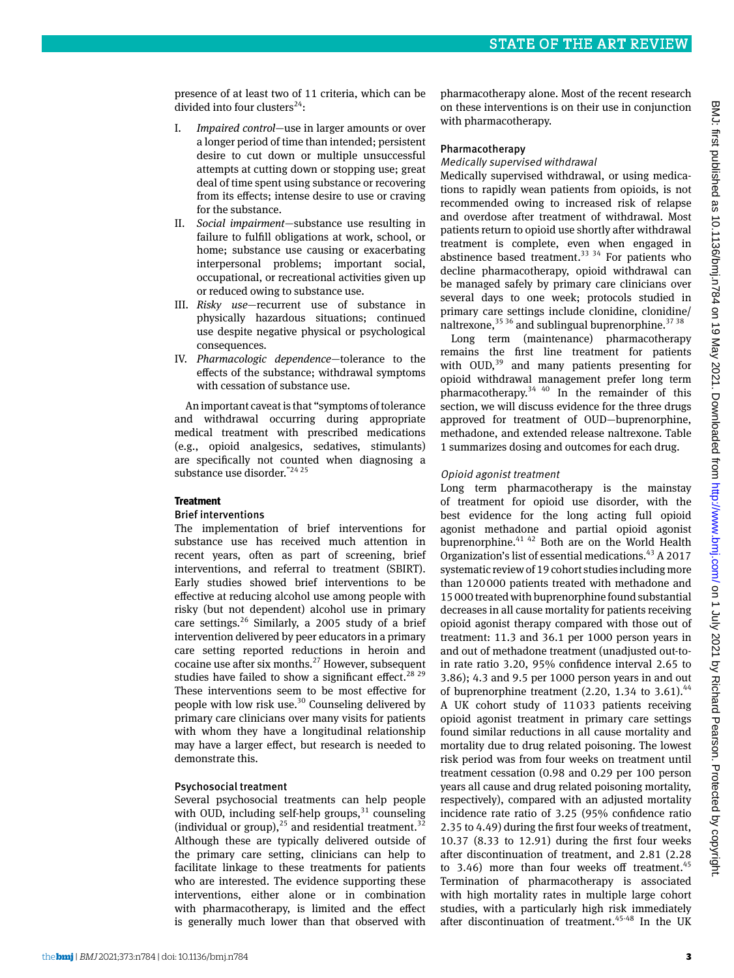presence of at least two of 11 criteria, which can be divided into four clusters<sup>24</sup>:

- I. *Impaired control*—use in larger amounts or over a longer period of time than intended; persistent desire to cut down or multiple unsuccessful attempts at cutting down or stopping use; great deal of time spent using substance or recovering from its effects; intense desire to use or craving for the substance.
- II. *Social impairment*—substance use resulting in failure to fulfill obligations at work, school, or home; substance use causing or exacerbating interpersonal problems; important social, occupational, or recreational activities given up or reduced owing to substance use.
- III. *Risky use*—recurrent use of substance in physically hazardous situations; continued use despite negative physical or psychological consequences.
- IV. *Pharmacologic dependence*—tolerance to the effects of the substance; withdrawal symptoms with cessation of substance use.

An important caveat is that "symptoms of tolerance and withdrawal occurring during appropriate medical treatment with prescribed medications (e.g., opioid analgesics, sedatives, stimulants) are specifically not counted when diagnosing a substance use disorder."24 25

# **Treatment**

# Brief interventions

The implementation of brief interventions for substance use has received much attention in recent years, often as part of screening, brief interventions, and referral to treatment (SBIRT). Early studies showed brief interventions to be effective at reducing alcohol use among people with risky (but not dependent) alcohol use in primary care settings.<sup>26</sup> Similarly, a 2005 study of a brief intervention delivered by peer educators in a primary care setting reported reductions in heroin and cocaine use after six months. $^{27}$  However, subsequent studies have failed to show a significant effect.<sup>28 29</sup> These interventions seem to be most effective for people with low risk use.<sup>30</sup> Counseling delivered by primary care clinicians over many visits for patients with whom they have a longitudinal relationship may have a larger effect, but research is needed to demonstrate this.

# Psychosocial treatment

Several psychosocial treatments can help people with OUD, including self-help groups, $31$  counseling (individual or group), $^{25}$  and residential treatment.<sup>32</sup> Although these are typically delivered outside of the primary care setting, clinicians can help to facilitate linkage to these treatments for patients who are interested. The evidence supporting these interventions, either alone or in combination with pharmacotherapy, is limited and the effect is generally much lower than that observed with

pharmacotherapy alone. Most of the recent research on these interventions is on their use in conjunction with pharmacotherapy.

## Pharmacotherapy

## Medically supervised withdrawal

Medically supervised withdrawal, or using medications to rapidly wean patients from opioids, is not recommended owing to increased risk of relapse and overdose after treatment of withdrawal. Most patients return to opioid use shortly after withdrawal treatment is complete, even when engaged in abstinence based treatment.<sup>33 34</sup> For patients who decline pharmacotherapy, opioid withdrawal can be managed safely by primary care clinicians over several days to one week; protocols studied in primary care settings include clonidine, clonidine/ naltrexone,  $35\,36$  and sublingual buprenorphine.  $37\,38$ 

Long term (maintenance) pharmacotherapy remains the first line treatment for patients with  $OUD$ ,<sup>39</sup> and many patients presenting for opioid withdrawal management prefer long term pharmacotherapy.34 40 In the remainder of this section, we will discuss evidence for the three drugs approved for treatment of OUD—buprenorphine, methadone, and extended release naltrexone. Table 1 summarizes dosing and outcomes for each drug.

# Opioid agonist treatment

Long term pharmacotherapy is the mainstay of treatment for opioid use disorder, with the best evidence for the long acting full opioid agonist methadone and partial opioid agonist buprenorphine.41 42 Both are on the World Health Organization's list of essential medications.43 A 2017 systematic review of 19 cohort studies including more than 120000 patients treated with methadone and 15000 treated with buprenorphine found substantial decreases in all cause mortality for patients receiving opioid agonist therapy compared with those out of treatment: 11.3 and 36.1 per 1000 person years in and out of methadone treatment (unadjusted out-toin rate ratio 3.20, 95% confidence interval 2.65 to 3.86); 4.3 and 9.5 per 1000 person years in and out of buprenorphine treatment  $(2.20, 1.34$  to  $3.61)$ .<sup>44</sup> A UK cohort study of 11033 patients receiving opioid agonist treatment in primary care settings found similar reductions in all cause mortality and mortality due to drug related poisoning. The lowest risk period was from four weeks on treatment until treatment cessation (0.98 and 0.29 per 100 person years all cause and drug related poisoning mortality, respectively), compared with an adjusted mortality incidence rate ratio of 3.25 (95% confidence ratio 2.35 to 4.49) during the first four weeks of treatment, 10.37 (8.33 to 12.91) during the first four weeks after discontinuation of treatment, and 2.81 (2.28 to 3.46) more than four weeks off treatment. $45$ Termination of pharmacotherapy is associated with high mortality rates in multiple large cohort studies, with a particularly high risk immediately after discontinuation of treatment.<sup>45-48</sup> In the UK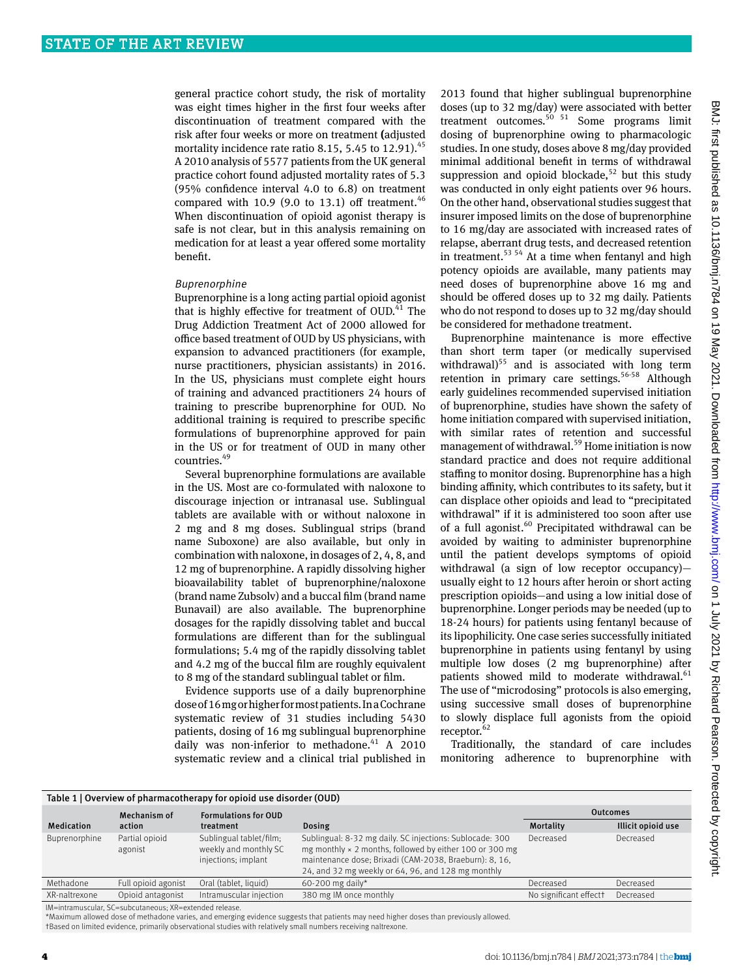general practice cohort study, the risk of mortality was eight times higher in the first four weeks after discontinuation of treatment compared with the risk after four weeks or more on treatment **(**adjusted mortality incidence rate ratio 8.15, 5.45 to 12.91). $45$ A 2010 analysis of 5577 patients from the UK general practice cohort found adjusted mortality rates of 5.3 (95% confidence interval 4.0 to 6.8) on treatment compared with 10.9 (9.0 to 13.1) off treatment. $46$ When discontinuation of opioid agonist therapy is safe is not clear, but in this analysis remaining on medication for at least a year offered some mortality benefit.

## Buprenorphine

Buprenorphine is a long acting partial opioid agonist that is highly effective for treatment of OUD.<sup>41</sup> The Drug Addiction Treatment Act of 2000 allowed for office based treatment of OUD by US physicians, with expansion to advanced practitioners (for example, nurse practitioners, physician assistants) in 2016. In the US, physicians must complete eight hours of training and advanced practitioners 24 hours of training to prescribe buprenorphine for OUD. No additional training is required to prescribe specific formulations of buprenorphine approved for pain in the US or for treatment of OUD in many other countries.<sup>49</sup>

Several buprenorphine formulations are available in the US. Most are co-formulated with naloxone to discourage injection or intranasal use. Sublingual tablets are available with or without naloxone in 2 mg and 8 mg doses. Sublingual strips (brand name Suboxone) are also available, but only in combination with naloxone, in dosages of 2, 4, 8, and 12 mg of buprenorphine. A rapidly dissolving higher bioavailability tablet of buprenorphine/naloxone (brand name Zubsolv) and a buccal film (brand name Bunavail) are also available. The buprenorphine dosages for the rapidly dissolving tablet and buccal formulations are different than for the sublingual formulations; 5.4 mg of the rapidly dissolving tablet and 4.2 mg of the buccal film are roughly equivalent to 8 mg of the standard sublingual tablet or film.

Evidence supports use of a daily buprenorphine dose of 16 mg or higher for most patients. In a Cochrane systematic review of 31 studies including 5430 patients, dosing of 16 mg sublingual buprenorphine daily was non-inferior to methadone. $41$  A 2010 systematic review and a clinical trial published in 2013 found that higher sublingual buprenorphine doses (up to 32 mg/day) were associated with better treatment outcomes.50 51 Some programs limit dosing of buprenorphine owing to pharmacologic studies. In one study, doses above 8 mg/day provided minimal additional benefit in terms of withdrawal suppression and opioid blockade, $52$  but this study was conducted in only eight patients over 96 hours. On the other hand, observational studies suggest that insurer imposed limits on the dose of buprenorphine to 16 mg/day are associated with increased rates of relapse, aberrant drug tests, and decreased retention in treatment.<sup>53 54</sup> At a time when fentanyl and high potency opioids are available, many patients may need doses of buprenorphine above 16 mg and should be offered doses up to 32 mg daily. Patients who do not respond to doses up to 32 mg/day should be considered for methadone treatment.

Buprenorphine maintenance is more effective than short term taper (or medically supervised withdrawal)<sup>55</sup> and is associated with long term retention in primary care settings.<sup>56-58</sup> Although early guidelines recommended supervised initiation of buprenorphine, studies have shown the safety of home initiation compared with supervised initiation, with similar rates of retention and successful management of withdrawal.<sup>59</sup> Home initiation is now standard practice and does not require additional staffing to monitor dosing. Buprenorphine has a high binding affinity, which contributes to its safety, but it can displace other opioids and lead to "precipitated withdrawal" if it is administered too soon after use of a full agonist.<sup>60</sup> Precipitated withdrawal can be avoided by waiting to administer buprenorphine until the patient develops symptoms of opioid withdrawal (a sign of low receptor occupancy) usually eight to 12 hours after heroin or short acting prescription opioids—and using a low initial dose of buprenorphine. Longer periods may be needed (up to 18-24 hours) for patients using fentanyl because of its lipophilicity. One case series successfully initiated buprenorphine in patients using fentanyl by using multiple low doses (2 mg buprenorphine) after patients showed mild to moderate withdrawal.<sup>61</sup> The use of "microdosing" protocols is also emerging, using successive small doses of buprenorphine to slowly displace full agonists from the opioid receptor. $6$ 

Traditionally, the standard of care includes monitoring adherence to buprenorphine with

| Table 1   Overview of pharmacotherapy for opioid use disorder (OUD) |                           |                                                                         |                                                                                                                                                                                                                                            |                        |                    |  |  |  |  |
|---------------------------------------------------------------------|---------------------------|-------------------------------------------------------------------------|--------------------------------------------------------------------------------------------------------------------------------------------------------------------------------------------------------------------------------------------|------------------------|--------------------|--|--|--|--|
|                                                                     | Mechanism of              | <b>Formulations for OUD</b>                                             |                                                                                                                                                                                                                                            | <b>Outcomes</b>        |                    |  |  |  |  |
| <b>Medication</b>                                                   | action                    | treatment                                                               | Dosing                                                                                                                                                                                                                                     | Mortality              | Illicit opioid use |  |  |  |  |
| Buprenorphine                                                       | Partial opioid<br>agonist | Sublingual tablet/film;<br>weekly and monthly SC<br>injections; implant | Sublingual: 8-32 mg daily. SC injections: Sublocade: 300<br>mg monthly $\times$ 2 months, followed by either 100 or 300 mg<br>maintenance dose; Brixadi (CAM-2038, Braeburn): 8, 16,<br>24, and 32 mg weekly or 64, 96, and 128 mg monthly | Decreased              | Decreased          |  |  |  |  |
| Methadone                                                           | Full opioid agonist       | Oral (tablet, liquid)                                                   | 60-200 mg daily*                                                                                                                                                                                                                           | Decreased              | Decreased          |  |  |  |  |
| XR-naltrexone                                                       | Opioid antagonist         | Intramuscular injection                                                 | 380 mg IM once monthly                                                                                                                                                                                                                     | No significant effectt | Decreased          |  |  |  |  |

IM=intramuscular, SC=subcutaneous; XR=extended release.

\*Maximum allowed dose of methadone varies, and emerging evidence suggests that patients may need higher doses than previously allowed.

†Based on limited evidence, primarily observational studies with relatively small numbers receiving naltrexone.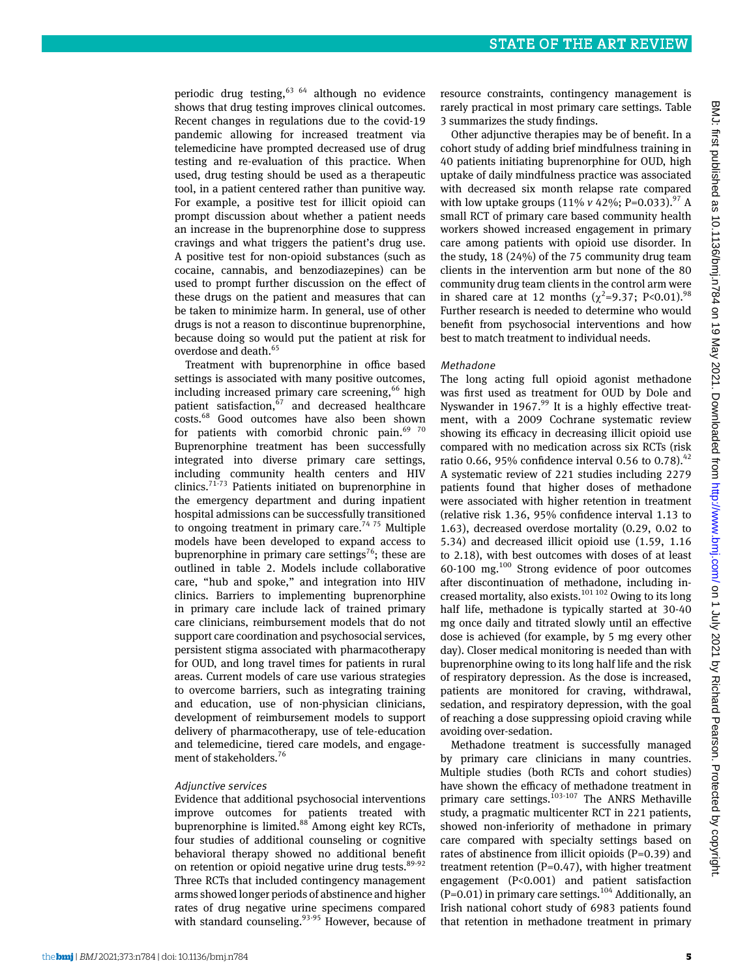periodic drug testing,  $63/64$  although no evidence shows that drug testing improves clinical outcomes. Recent changes in regulations due to the covid-19 pandemic allowing for increased treatment via telemedicine have prompted decreased use of drug testing and re-evaluation of this practice. When used, drug testing should be used as a therapeutic tool, in a patient centered rather than punitive way. For example, a positive test for illicit opioid can prompt discussion about whether a patient needs an increase in the buprenorphine dose to suppress cravings and what triggers the patient's drug use. A positive test for non-opioid substances (such as cocaine, cannabis, and benzodiazepines) can be used to prompt further discussion on the effect of these drugs on the patient and measures that can be taken to minimize harm. In general, use of other drugs is not a reason to discontinue buprenorphine, because doing so would put the patient at risk for overdose and death.<sup>65</sup>

Treatment with buprenorphine in office based settings is associated with many positive outcomes, including increased primary care screening,<sup>66</sup> high patient satisfaction, $67$  and decreased healthcare costs.68 Good outcomes have also been shown for patients with comorbid chronic pain. $6970$ Buprenorphine treatment has been successfully integrated into diverse primary care settings, including community health centers and HIV clinics.<sup>71-73</sup> Patients initiated on buprenorphine in the emergency department and during inpatient hospital admissions can be successfully transitioned to ongoing treatment in primary care.<sup>74 75</sup> Multiple models have been developed to expand access to buprenorphine in primary care settings<sup>76</sup>; these are outlined in table 2. Models include collaborative care, "hub and spoke," and integration into HIV clinics. Barriers to implementing buprenorphine in primary care include lack of trained primary care clinicians, reimbursement models that do not support care coordination and psychosocial services, persistent stigma associated with pharmacotherapy for OUD, and long travel times for patients in rural areas. Current models of care use various strategies to overcome barriers, such as integrating training and education, use of non-physician clinicians, development of reimbursement models to support delivery of pharmacotherapy, use of tele-education and telemedicine, tiered care models, and engagement of stakeholders.<sup>76</sup>

## Adjunctive services

Evidence that additional psychosocial interventions improve outcomes for patients treated with buprenorphine is limited.<sup>88</sup> Among eight key RCTs, four studies of additional counseling or cognitive behavioral therapy showed no additional benefit on retention or opioid negative urine drug tests.<sup>89-92</sup> Three RCTs that included contingency management arms showed longer periods of abstinence and higher rates of drug negative urine specimens compared with standard counseling.<sup>93-95</sup> However, because of resource constraints, contingency management is rarely practical in most primary care settings. Table 3 summarizes the study findings.

Other adjunctive therapies may be of benefit. In a cohort study of adding brief mindfulness training in 40 patients initiating buprenorphine for OUD, high uptake of daily mindfulness practice was associated with decreased six month relapse rate compared with low uptake groups  $(11\% \text{ v } 42\%; \text{ P=0.033}).$ <sup>97</sup> A small RCT of primary care based community health workers showed increased engagement in primary care among patients with opioid use disorder. In the study, 18 (24%) of the 75 community drug team clients in the intervention arm but none of the 80 community drug team clients in the control arm were in shared care at 12 months ( $\chi^2$ =9.37; P<0.01).<sup>98</sup> Further research is needed to determine who would benefit from psychosocial interventions and how best to match treatment to individual needs.

## Methadone

The long acting full opioid agonist methadone was first used as treatment for OUD by Dole and Nyswander in  $1967$ .<sup>99</sup> It is a highly effective treatment, with a 2009 Cochrane systematic review showing its efficacy in decreasing illicit opioid use compared with no medication across six RCTs (risk ratio 0.66, 95% confidence interval 0.56 to 0.78).<sup>42</sup> A systematic review of 221 studies including 2279 patients found that higher doses of methadone were associated with higher retention in treatment (relative risk 1.36, 95% confidence interval 1.13 to 1.63), decreased overdose mortality (0.29, 0.02 to 5.34) and decreased illicit opioid use (1.59, 1.16 to 2.18), with best outcomes with doses of at least  $60-100$  mg. $^{100}$  Strong evidence of poor outcomes after discontinuation of methadone, including increased mortality, also exists.<sup>101 102</sup> Owing to its long half life, methadone is typically started at 30-40 mg once daily and titrated slowly until an effective dose is achieved (for example, by 5 mg every other day). Closer medical monitoring is needed than with buprenorphine owing to its long half life and the risk of respiratory depression. As the dose is increased, patients are monitored for craving, withdrawal, sedation, and respiratory depression, with the goal of reaching a dose suppressing opioid craving while avoiding over-sedation.

Methadone treatment is successfully managed by primary care clinicians in many countries. Multiple studies (both RCTs and cohort studies) have shown the efficacy of methadone treatment in primary care settings.<sup>103-107</sup> The ANRS Methaville study, a pragmatic multicenter RCT in 221 patients, showed non-inferiority of methadone in primary care compared with specialty settings based on rates of abstinence from illicit opioids (P=0.39) and treatment retention (P=0.47), with higher treatment engagement (P<0.001) and patient satisfaction  $(P=0.01)$  in primary care settings.<sup>104</sup> Additionally, an Irish national cohort study of 6983 patients found that retention in methadone treatment in primary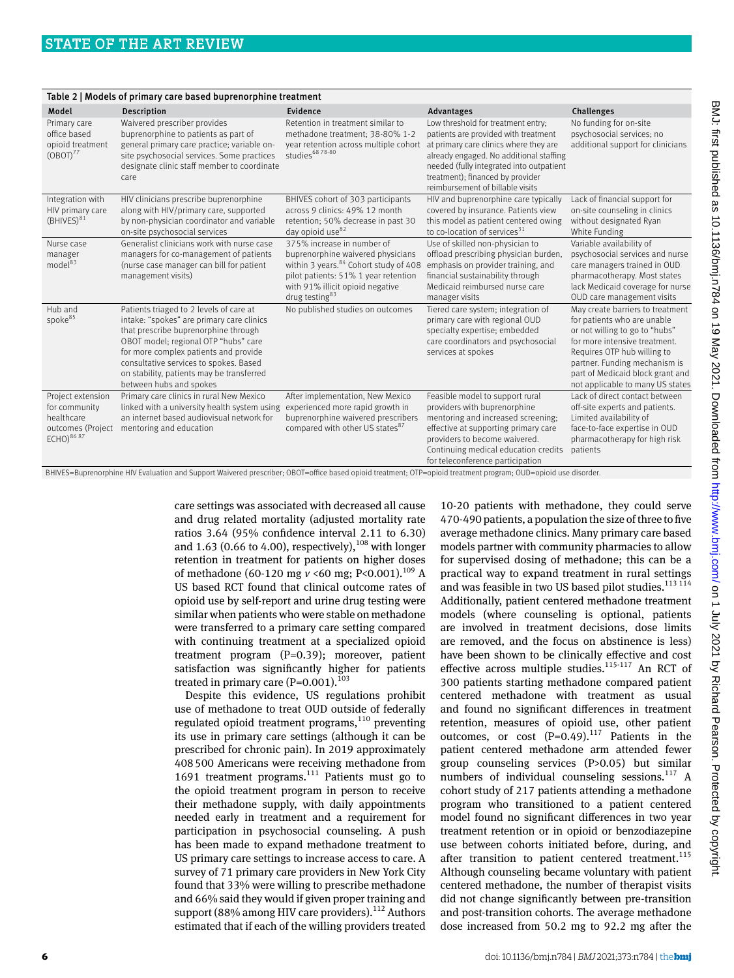| Table 2   Models of primary care based buprenorphine treatment                                 |                                                                                                                                                                                                                                                                                                                                 |                                                                                                                                                                                                                                |                                                                                                                                                                                                                                                                                     |                                                                                                                                                                                                                                                                            |  |  |  |
|------------------------------------------------------------------------------------------------|---------------------------------------------------------------------------------------------------------------------------------------------------------------------------------------------------------------------------------------------------------------------------------------------------------------------------------|--------------------------------------------------------------------------------------------------------------------------------------------------------------------------------------------------------------------------------|-------------------------------------------------------------------------------------------------------------------------------------------------------------------------------------------------------------------------------------------------------------------------------------|----------------------------------------------------------------------------------------------------------------------------------------------------------------------------------------------------------------------------------------------------------------------------|--|--|--|
| Model                                                                                          | <b>Description</b>                                                                                                                                                                                                                                                                                                              | Evidence                                                                                                                                                                                                                       | Advantages                                                                                                                                                                                                                                                                          | Challenges                                                                                                                                                                                                                                                                 |  |  |  |
| Primary care<br>office based<br>opioid treatment<br>(OBOT) <sup>77</sup>                       | Waivered prescriber provides<br>buprenorphine to patients as part of<br>general primary care practice; variable on-<br>site psychosocial services. Some practices<br>designate clinic staff member to coordinate<br>care                                                                                                        | Retention in treatment similar to<br>methadone treatment; 38-80% 1-2<br>year retention across multiple cohort<br>studies <sup>68</sup> 78-80                                                                                   | Low threshold for treatment entry;<br>patients are provided with treatment<br>at primary care clinics where they are<br>already engaged. No additional staffing<br>needed (fully integrated into outpatient<br>treatment); financed by provider<br>reimbursement of billable visits | No funding for on-site<br>psychosocial services; no<br>additional support for clinicians                                                                                                                                                                                   |  |  |  |
| Integration with<br>HIV primary care<br>$(BHIVES)^{81}$                                        | HIV clinicians prescribe buprenorphine<br>along with HIV/primary care, supported<br>by non-physician coordinator and variable<br>on-site psychosocial services                                                                                                                                                                  | BHIVES cohort of 303 participants<br>across 9 clinics: 49% 12 month<br>retention; 50% decrease in past 30<br>day opioid use <sup>82</sup>                                                                                      | HIV and buprenorphine care typically<br>covered by insurance. Patients view<br>this model as patient centered owing<br>to co-location of services $31$                                                                                                                              | Lack of financial support for<br>on-site counseling in clinics<br>without designated Ryan<br>White Funding                                                                                                                                                                 |  |  |  |
| Nurse case<br>manager<br>model <sup>83</sup>                                                   | Generalist clinicians work with nurse case<br>managers for co-management of patients<br>(nurse case manager can bill for patient<br>management visits)                                                                                                                                                                          | 375% increase in number of<br>buprenorphine waivered physicians<br>within 3 years. <sup>84</sup> Cohort study of 408<br>pilot patients: 51% 1 year retention<br>with 91% illicit opioid negative<br>drug testing <sup>83</sup> | Use of skilled non-physician to<br>offload prescribing physician burden,<br>emphasis on provider training, and<br>financial sustainability through<br>Medicaid reimbursed nurse care<br>manager visits                                                                              | Variable availability of<br>psychosocial services and nurse<br>care managers trained in OUD<br>pharmacotherapy. Most states<br>lack Medicaid coverage for nurse<br>OUD care management visits                                                                              |  |  |  |
| Hub and<br>spoke <sup>85</sup>                                                                 | Patients triaged to 2 levels of care at<br>intake: "spokes" are primary care clinics<br>that prescribe buprenorphine through<br>OBOT model; regional OTP "hubs" care<br>for more complex patients and provide<br>consultative services to spokes. Based<br>on stability, patients may be transferred<br>between hubs and spokes | No published studies on outcomes                                                                                                                                                                                               | Tiered care system; integration of<br>primary care with regional OUD<br>specialty expertise; embedded<br>care coordinators and psychosocial<br>services at spokes                                                                                                                   | May create barriers to treatment<br>for patients who are unable<br>or not willing to go to "hubs"<br>for more intensive treatment.<br>Requires OTP hub willing to<br>partner. Funding mechanism is<br>part of Medicaid block grant and<br>not applicable to many US states |  |  |  |
| Project extension<br>for community<br>healthcare<br>outcomes (Project<br>ECHO) <sup>8687</sup> | Primary care clinics in rural New Mexico<br>linked with a university health system using<br>an internet based audiovisual network for<br>mentoring and education                                                                                                                                                                | After implementation, New Mexico<br>experienced more rapid growth in<br>buprenorphine waivered prescribers<br>compared with other US states <sup>87</sup>                                                                      | Feasible model to support rural<br>providers with buprenorphine<br>mentoring and increased screening;<br>effective at supporting primary care<br>providers to become waivered.<br>Continuing medical education credits<br>for teleconference participation                          | Lack of direct contact between<br>off-site experts and patients.<br>Limited availability of<br>face-to-face expertise in OUD<br>pharmacotherapy for high risk<br>patients                                                                                                  |  |  |  |

BHIVES=Buprenorphine HIV Evaluation and Support Waivered prescriber; OBOT=office based opioid treatment; OTP=opioid treatment program; OUD=opioid use disorder.

care settings was associated with decreased all cause and drug related mortality (adjusted mortality rate ratios 3.64 (95% confidence interval 2.11 to 6.30) and 1.63 (0.66 to 4.00), respectively),  $108$  with longer retention in treatment for patients on higher doses of methadone (60-120 mg *v* <60 mg; P<0.001).109 A US based RCT found that clinical outcome rates of opioid use by self-report and urine drug testing were similar when patients who were stable on methadone were transferred to a primary care setting compared with continuing treatment at a specialized opioid treatment program (P=0.39); moreover, patient satisfaction was significantly higher for patients treated in primary care  $(P=0.001)$ <sup>103</sup>

Despite this evidence, US regulations prohibit use of methadone to treat OUD outside of federally regulated opioid treatment programs, $110$  preventing its use in primary care settings (although it can be prescribed for chronic pain). In 2019 approximately 408500 Americans were receiving methadone from 1691 treatment programs.<sup>111</sup> Patients must go to the opioid treatment program in person to receive their methadone supply, with daily appointments needed early in treatment and a requirement for participation in psychosocial counseling. A push has been made to expand methadone treatment to US primary care settings to increase access to care. A survey of 71 primary care providers in New York City found that 33% were willing to prescribe methadone and 66% said they would if given proper training and support (88% among HIV care providers).<sup>112</sup> Authors estimated that if each of the willing providers treated

10-20 patients with methadone, they could serve 470-490 patients, a population the size of three to five average methadone clinics. Many primary care based models partner with community pharmacies to allow for supervised dosing of methadone; this can be a practical way to expand treatment in rural settings and was feasible in two US based pilot studies.<sup>113 114</sup> Additionally, patient centered methadone treatment models (where counseling is optional, patients are involved in treatment decisions, dose limits are removed, and the focus on abstinence is less) have been shown to be clinically effective and cost effective across multiple studies.<sup>115-117</sup> An RCT of 300 patients starting methadone compared patient centered methadone with treatment as usual and found no significant differences in treatment retention, measures of opioid use, other patient outcomes, or cost  $(P=0.49)$ .<sup>117</sup> Patients in the patient centered methadone arm attended fewer group counseling services (P>0.05) but similar numbers of individual counseling sessions. $117$  A cohort study of 217 patients attending a methadone program who transitioned to a patient centered model found no significant differences in two year treatment retention or in opioid or benzodiazepine use between cohorts initiated before, during, and after transition to patient centered treatment.<sup>115</sup> Although counseling became voluntary with patient centered methadone, the number of therapist visits did not change significantly between pre-transition and post-transition cohorts. The average methadone dose increased from 50.2 mg to 92.2 mg after the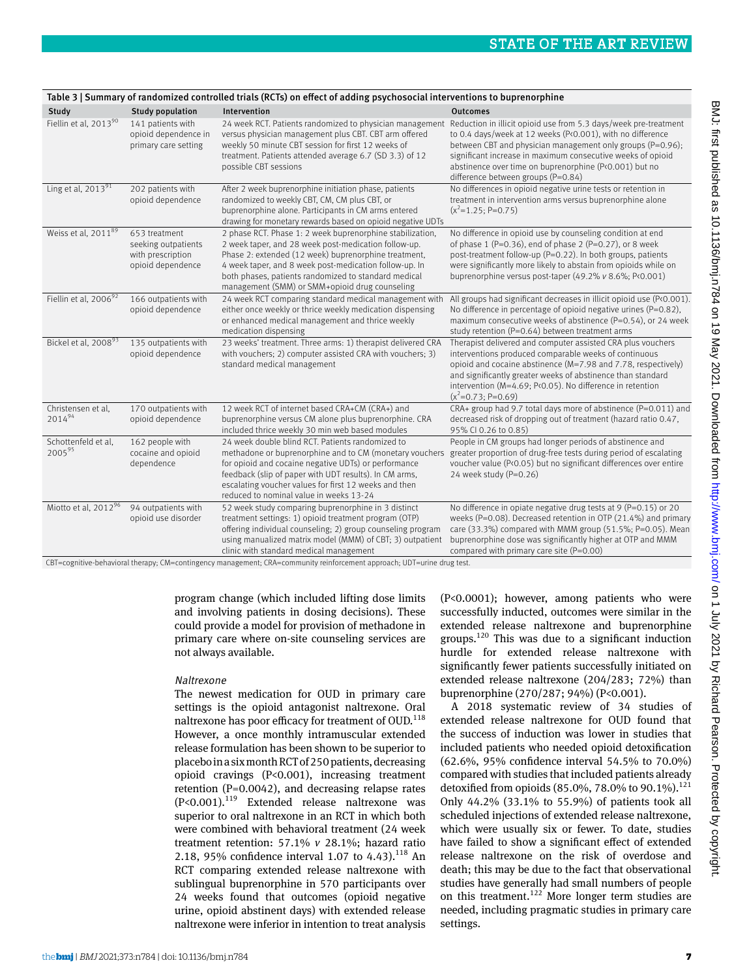| Table 3   Summary of randomized controlled trials (RCTs) on effect of adding psychosocial interventions to buprenorphine |                                                                                |                                                                                                                                                                                                                                                                                                                                               |                                                                                                                                                                                                                                                                                                                                                                                                                      |  |  |  |
|--------------------------------------------------------------------------------------------------------------------------|--------------------------------------------------------------------------------|-----------------------------------------------------------------------------------------------------------------------------------------------------------------------------------------------------------------------------------------------------------------------------------------------------------------------------------------------|----------------------------------------------------------------------------------------------------------------------------------------------------------------------------------------------------------------------------------------------------------------------------------------------------------------------------------------------------------------------------------------------------------------------|--|--|--|
| Study                                                                                                                    | <b>Study population</b>                                                        | Intervention                                                                                                                                                                                                                                                                                                                                  | <b>Outcomes</b>                                                                                                                                                                                                                                                                                                                                                                                                      |  |  |  |
| Fiellin et al, 201390                                                                                                    | 141 patients with<br>opioid dependence in<br>primary care setting              | versus physician management plus CBT. CBT arm offered<br>weekly 50 minute CBT session for first 12 weeks of<br>treatment. Patients attended average 6.7 (SD 3.3) of 12<br>possible CBT sessions                                                                                                                                               | 24 week RCT. Patients randomized to physician management Reduction in illicit opioid use from 5.3 days/week pre-treatment<br>to 0.4 days/week at 12 weeks (P<0.001), with no difference<br>between CBT and physician management only groups (P=0.96);<br>significant increase in maximum consecutive weeks of opioid<br>abstinence over time on buprenorphine (P<0.001) but no<br>difference between groups (P=0.84) |  |  |  |
| Ling et al, $2013^{91}$                                                                                                  | 202 patients with<br>opioid dependence                                         | After 2 week buprenorphine initiation phase, patients<br>randomized to weekly CBT, CM, CM plus CBT, or<br>buprenorphine alone. Participants in CM arms entered<br>drawing for monetary rewards based on opioid negative UDTs                                                                                                                  | No differences in opioid negative urine tests or retention in<br>treatment in intervention arms versus buprenorphine alone<br>$(x^2=1.25; P=0.75)$                                                                                                                                                                                                                                                                   |  |  |  |
| Weiss et al, 2011 <sup>89</sup>                                                                                          | 653 treatment<br>seeking outpatients<br>with prescription<br>opioid dependence | 2 phase RCT. Phase 1: 2 week buprenorphine stabilization,<br>2 week taper, and 28 week post-medication follow-up.<br>Phase 2: extended (12 week) buprenorphine treatment,<br>4 week taper, and 8 week post-medication follow-up. In<br>both phases, patients randomized to standard medical<br>management (SMM) or SMM+opioid drug counseling | No difference in opioid use by counseling condition at end<br>of phase 1 (P=0.36), end of phase 2 (P=0.27), or 8 week<br>post-treatment follow-up (P=0.22). In both groups, patients<br>were significantly more likely to abstain from opioids while on<br>buprenorphine versus post-taper (49.2% v 8.6%; P<0.001)                                                                                                   |  |  |  |
| Fiellin et al, 2006 <sup>92</sup>                                                                                        | 166 outpatients with<br>opioid dependence                                      | 24 week RCT comparing standard medical management with<br>either once weekly or thrice weekly medication dispensing<br>or enhanced medical management and thrice weekly<br>medication dispensing                                                                                                                                              | All groups had significant decreases in illicit opioid use (P<0.001).<br>No difference in percentage of opioid negative urines ( $P=0.82$ ),<br>maximum consecutive weeks of abstinence (P=0.54), or 24 week<br>study retention (P=0.64) between treatment arms                                                                                                                                                      |  |  |  |
| Bickel et al, 200893                                                                                                     | 135 outpatients with<br>opioid dependence                                      | 23 weeks' treatment. Three arms: 1) therapist delivered CRA<br>with vouchers; 2) computer assisted CRA with vouchers; 3)<br>standard medical management                                                                                                                                                                                       | Therapist delivered and computer assisted CRA plus vouchers<br>interventions produced comparable weeks of continuous<br>opioid and cocaine abstinence (M=7.98 and 7.78, respectively)<br>and significantly greater weeks of abstinence than standard<br>intervention (M=4.69; P<0.05). No difference in retention<br>$(x^2=0.73; P=0.69)$                                                                            |  |  |  |
| Christensen et al.<br>201494                                                                                             | 170 outpatients with<br>opioid dependence                                      | 12 week RCT of internet based CRA+CM (CRA+) and<br>buprenorphine versus CM alone plus buprenorphine. CRA<br>included thrice weekly 30 min web based modules                                                                                                                                                                                   | CRA+ group had 9.7 total days more of abstinence (P=0.011) and<br>decreased risk of dropping out of treatment (hazard ratio 0.47,<br>95% CI 0.26 to 0.85)                                                                                                                                                                                                                                                            |  |  |  |
| Schottenfeld et al.<br>200595                                                                                            | 162 people with<br>cocaine and opioid<br>dependence                            | 24 week double blind RCT. Patients randomized to<br>for opioid and cocaine negative UDTs) or performance<br>feedback (slip of paper with UDT results). In CM arms,<br>escalating voucher values for first 12 weeks and then<br>reduced to nominal value in weeks 13-24                                                                        | People in CM groups had longer periods of abstinence and<br>methadone or buprenorphine and to CM (monetary vouchers greater proportion of drug-free tests during period of escalating<br>voucher value (P<0.05) but no significant differences over entire<br>24 week study $(P=0.26)$                                                                                                                               |  |  |  |
| Miotto et al, 2012 <sup>96</sup>                                                                                         | 94 outpatients with<br>opioid use disorder                                     | 52 week study comparing buprenorphine in 3 distinct<br>treatment settings: 1) opioid treatment program (OTP)<br>offering individual counseling; 2) group counseling program<br>using manualized matrix model (MMM) of CBT; 3) outpatient<br>clinic with standard medical management                                                           | No difference in opiate negative drug tests at $9$ (P=0.15) or 20<br>weeks (P=0.08). Decreased retention in OTP (21.4%) and primary<br>care (33.3%) compared with MMM group (51.5%; P=0.05). Mean<br>buprenorphine dose was significantly higher at OTP and MMM<br>compared with primary care site $(P=0.00)$                                                                                                        |  |  |  |

CBT=cognitive-behavioral therapy; CM=contingency management; CRA=community reinforcement approach; UDT=urine drug test.

program change (which included lifting dose limits and involving patients in dosing decisions). These could provide a model for provision of methadone in primary care where on-site counseling services are not always available.

# Naltrexone

The newest medication for OUD in primary care settings is the opioid antagonist naltrexone. Oral naltrexone has poor efficacy for treatment of OUD.<sup>118</sup> However, a once monthly intramuscular extended release formulation has been shown to be superior to placebo in a six month RCT of 250 patients, decreasing opioid cravings (P<0.001), increasing treatment retention (P=0.0042), and decreasing relapse rates  $(P<0.001)$ .<sup>119</sup> Extended release naltrexone was superior to oral naltrexone in an RCT in which both were combined with behavioral treatment (24 week treatment retention: 57.1% *v* 28.1%; hazard ratio 2.18, 95% confidence interval 1.07 to 4.43).<sup>118</sup> An RCT comparing extended release naltrexone with sublingual buprenorphine in 570 participants over 24 weeks found that outcomes (opioid negative urine, opioid abstinent days) with extended release naltrexone were inferior in intention to treat analysis (P<0.0001); however, among patients who were successfully inducted, outcomes were similar in the extended release naltrexone and buprenorphine groups.<sup>120</sup> This was due to a significant induction hurdle for extended release naltrexone with significantly fewer patients successfully initiated on extended release naltrexone (204/283; 72%) than buprenorphine (270/287; 94%) (P<0.001).

A 2018 systematic review of 34 studies of extended release naltrexone for OUD found that the success of induction was lower in studies that included patients who needed opioid detoxification (62.6%, 95% confidence interval 54.5% to 70.0%) compared with studies that included patients already detoxified from opioids (85.0%, 78.0% to 90.1%).<sup>121</sup> Only 44.2% (33.1% to 55.9%) of patients took all scheduled injections of extended release naltrexone, which were usually six or fewer. To date, studies have failed to show a significant effect of extended release naltrexone on the risk of overdose and death; this may be due to the fact that observational studies have generally had small numbers of people on this treatment.<sup>122</sup> More longer term studies are needed, including pragmatic studies in primary care settings.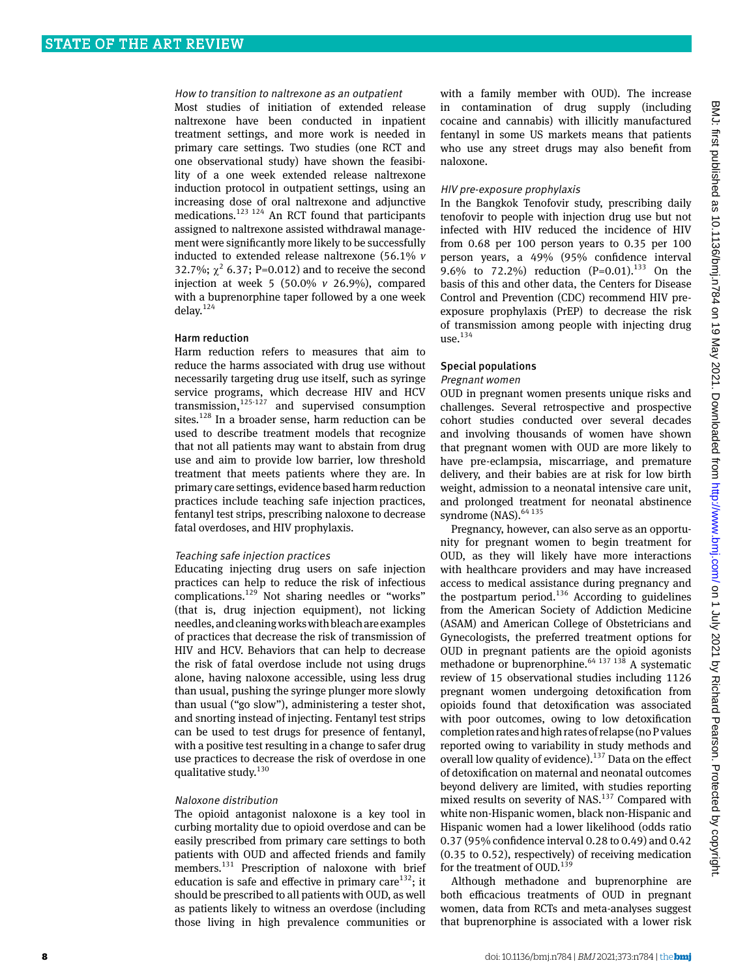## How to transition to naltrexone as an outpatient

Most studies of initiation of extended release naltrexone have been conducted in inpatient treatment settings, and more work is needed in primary care settings. Two studies (one RCT and one observational study) have shown the feasibility of a one week extended release naltrexone induction protocol in outpatient settings, using an increasing dose of oral naltrexone and adjunctive medications.<sup>123 124</sup> An RCT found that participants assigned to naltrexone assisted withdrawal management were significantly more likely to be successfully inducted to extended release naltrexone (56.1% *v* 32.7%;  $\chi^2$  6.37; P=0.012) and to receive the second injection at week 5 (50.0% *v* 26.9%), compared with a buprenorphine taper followed by a one week delay.<sup>124</sup>

## Harm reduction

Harm reduction refers to measures that aim to reduce the harms associated with drug use without necessarily targeting drug use itself, such as syringe service programs, which decrease HIV and HCV transmission, $125-127$  and supervised consumption sites.<sup>128</sup> In a broader sense, harm reduction can be used to describe treatment models that recognize that not all patients may want to abstain from drug use and aim to provide low barrier, low threshold treatment that meets patients where they are. In primary care settings, evidence based harm reduction practices include teaching safe injection practices, fentanyl test strips, prescribing naloxone to decrease fatal overdoses, and HIV prophylaxis.

#### Teaching safe injection practices

Educating injecting drug users on safe injection practices can help to reduce the risk of infectious complications.<sup>129</sup> Not sharing needles or "works" (that is, drug injection equipment), not licking needles, and cleaning works with bleach are examples of practices that decrease the risk of transmission of HIV and HCV. Behaviors that can help to decrease the risk of fatal overdose include not using drugs alone, having naloxone accessible, using less drug than usual, pushing the syringe plunger more slowly than usual ("go slow"), administering a tester shot, and snorting instead of injecting. Fentanyl test strips can be used to test drugs for presence of fentanyl, with a positive test resulting in a change to safer drug use practices to decrease the risk of overdose in one qualitative study. $130$ 

#### Naloxone distribution

The opioid antagonist naloxone is a key tool in curbing mortality due to opioid overdose and can be easily prescribed from primary care settings to both patients with OUD and affected friends and family members.<sup>131</sup> Prescription of naloxone with brief education is safe and effective in primary care $132$ ; it should be prescribed to all patients with OUD, as well as patients likely to witness an overdose (including those living in high prevalence communities or

with a family member with OUD). The increase in contamination of drug supply (including cocaine and cannabis) with illicitly manufactured fentanyl in some US markets means that patients who use any street drugs may also benefit from naloxone.

#### HIV pre-exposure prophylaxis

In the Bangkok Tenofovir study, prescribing daily tenofovir to people with injection drug use but not infected with HIV reduced the incidence of HIV from 0.68 per 100 person years to 0.35 per 100 person years, a 49% (95% confidence interval 9.6% to 72.2%) reduction  $(P=0.01)$ .<sup>133</sup> On the basis of this and other data, the Centers for Disease Control and Prevention (CDC) recommend HIV preexposure prophylaxis (PrEP) to decrease the risk of transmission among people with injecting drug use. $134$ 

## Special populations Pregnant women

OUD in pregnant women presents unique risks and challenges. Several retrospective and prospective cohort studies conducted over several decades and involving thousands of women have shown that pregnant women with OUD are more likely to have pre-eclampsia, miscarriage, and premature delivery, and their babies are at risk for low birth weight, admission to a neonatal intensive care unit, and prolonged treatment for neonatal abstinence syndrome (NAS).<sup>64 135</sup>

Pregnancy, however, can also serve as an opportunity for pregnant women to begin treatment for OUD, as they will likely have more interactions with healthcare providers and may have increased access to medical assistance during pregnancy and the postpartum period. $136$  According to guidelines from the American Society of Addiction Medicine (ASAM) and American College of Obstetricians and Gynecologists, the preferred treatment options for OUD in pregnant patients are the opioid agonists methadone or buprenorphine.<sup>64 137 138</sup> A systematic review of 15 observational studies including 1126 pregnant women undergoing detoxification from opioids found that detoxification was associated with poor outcomes, owing to low detoxification completion rates and high rates of relapse (no P values reported owing to variability in study methods and overall low quality of evidence).<sup>137</sup> Data on the effect of detoxification on maternal and neonatal outcomes beyond delivery are limited, with studies reporting mixed results on severity of NAS.<sup>137</sup> Compared with white non-Hispanic women, black non-Hispanic and Hispanic women had a lower likelihood (odds ratio 0.37 (95% confidence interval 0.28 to 0.49) and 0.42 (0.35 to 0.52), respectively) of receiving medication for the treatment of  $\text{OUD}.^{139}$ 

Although methadone and buprenorphine are both efficacious treatments of OUD in pregnant women, data from RCTs and meta-analyses suggest that buprenorphine is associated with a lower risk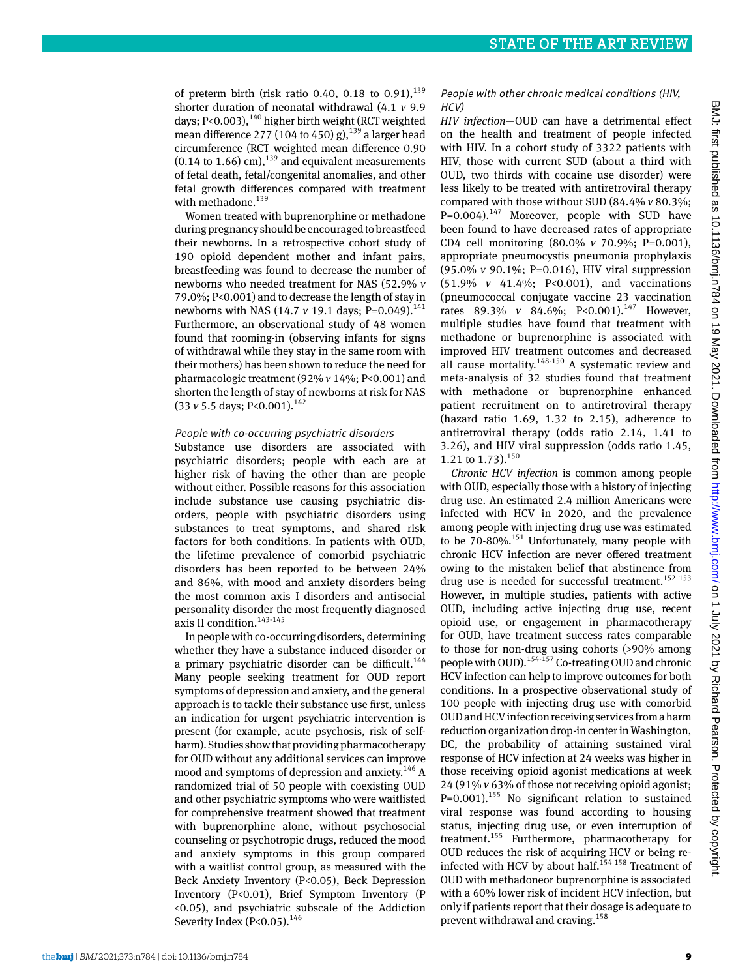of preterm birth (risk ratio 0.40, 0.18 to 0.91), $^{139}$ shorter duration of neonatal withdrawal (4.1 *v* 9.9 days;  $P < 0.003$ ),  $140$  higher birth weight (RCT weighted mean difference 277 (104 to 450) g),  $^{139}$  a larger head circumference (RCT weighted mean difference 0.90  $(0.14 \text{ to } 1.66) \text{ cm}$ ,<sup>139</sup> and equivalent measurements of fetal death, fetal/congenital anomalies, and other fetal growth differences compared with treatment with methadone.<sup>139</sup>

Women treated with buprenorphine or methadone during pregnancy should be encouraged to breastfeed their newborns. In a retrospective cohort study of 190 opioid dependent mother and infant pairs, breastfeeding was found to decrease the number of newborns who needed treatment for NAS (52.9% *v* 79.0%; P<0.001) and to decrease the length of stay in newborns with NAS (14.7 *v* 19.1 days; P=0.049).<sup>141</sup> Furthermore, an observational study of 48 women found that rooming-in (observing infants for signs of withdrawal while they stay in the same room with their mothers) has been shown to reduce the need for pharmacologic treatment (92% *v* 14%; P<0.001) and shorten the length of stay of newborns at risk for NAS (33 *v* 5.5 days; P<0.001).142

## People with co-occurring psychiatric disorders

Substance use disorders are associated with psychiatric disorders; people with each are at higher risk of having the other than are people without either. Possible reasons for this association include substance use causing psychiatric disorders, people with psychiatric disorders using substances to treat symptoms, and shared risk factors for both conditions. In patients with OUD, the lifetime prevalence of comorbid psychiatric disorders has been reported to be between 24% and 86%, with mood and anxiety disorders being the most common axis I disorders and antisocial personality disorder the most frequently diagnosed axis II condition.<sup>143-145</sup>

In people with co-occurring disorders, determining whether they have a substance induced disorder or a primary psychiatric disorder can be difficult.<sup>144</sup> Many people seeking treatment for OUD report symptoms of depression and anxiety, and the general approach is to tackle their substance use first, unless an indication for urgent psychiatric intervention is present (for example, acute psychosis, risk of selfharm). Studies show that providing pharmacotherapy for OUD without any additional services can improve mood and symptoms of depression and anxiety.<sup>146</sup> A randomized trial of 50 people with coexisting OUD and other psychiatric symptoms who were waitlisted for comprehensive treatment showed that treatment with buprenorphine alone, without psychosocial counseling or psychotropic drugs, reduced the mood and anxiety symptoms in this group compared with a waitlist control group, as measured with the Beck Anxiety Inventory (P<0.05), Beck Depression Inventory (P<0.01), Brief Symptom Inventory (P <0.05), and psychiatric subscale of the Addiction Severity Index (P<0.05).<sup>146</sup>

## People with other chronic medical conditions (HIV, HCV)

*HIV infection*—OUD can have a detrimental effect on the health and treatment of people infected with HIV. In a cohort study of 3322 patients with HIV, those with current SUD (about a third with OUD, two thirds with cocaine use disorder) were less likely to be treated with antiretroviral therapy compared with those without SUD (84.4% *v* 80.3%;  $P=0.004$ ).<sup>147</sup> Moreover, people with SUD have been found to have decreased rates of appropriate CD4 cell monitoring (80.0% *v* 70.9%; P=0.001), appropriate pneumocystis pneumonia prophylaxis (95.0% *v* 90.1%; P=0.016), HIV viral suppression (51.9% *v* 41.4%; P<0.001), and vaccinations (pneumococcal conjugate vaccine 23 vaccination rates 89.3% *v* 84.6%; P<0.001).<sup>147</sup> However. multiple studies have found that treatment with methadone or buprenorphine is associated with improved HIV treatment outcomes and decreased all cause mortality.<sup>148-150</sup> A systematic review and meta-analysis of 32 studies found that treatment with methadone or buprenorphine enhanced patient recruitment on to antiretroviral therapy (hazard ratio 1.69, 1.32 to 2.15), adherence to antiretroviral therapy (odds ratio 2.14, 1.41 to 3.26), and HIV viral suppression (odds ratio 1.45, 1.21 to 1.73). $150$ 

*Chronic HCV infection* is common among people with OUD, especially those with a history of injecting drug use. An estimated 2.4 million Americans were infected with HCV in 2020, and the prevalence among people with injecting drug use was estimated to be  $70-80\%$ .<sup>151</sup> Unfortunately, many people with chronic HCV infection are never offered treatment owing to the mistaken belief that abstinence from drug use is needed for successful treatment.<sup>152 153</sup> However, in multiple studies, patients with active OUD, including active injecting drug use, recent opioid use, or engagement in pharmacotherapy for OUD, have treatment success rates comparable to those for non-drug using cohorts (>90% among people with OUD).154-157 Co-treating OUD and chronic HCV infection can help to improve outcomes for both conditions. In a prospective observational study of 100 people with injecting drug use with comorbid OUD and HCV infection receiving services from a harm reduction organization drop-in center in Washington, DC, the probability of attaining sustained viral response of HCV infection at 24 weeks was higher in those receiving opioid agonist medications at week 24 (91% *v* 63% of those not receiving opioid agonist;  $P=0.001$ ).<sup>155</sup> No significant relation to sustained viral response was found according to housing status, injecting drug use, or even interruption of treatment.155 Furthermore, pharmacotherapy for OUD reduces the risk of acquiring HCV or being reinfected with HCV by about half.<sup>154 158</sup> Treatment of OUD with methadoneor buprenorphine is associated with a 60% lower risk of incident HCV infection, but only if patients report that their dosage is adequate to prevent withdrawal and craving. $158$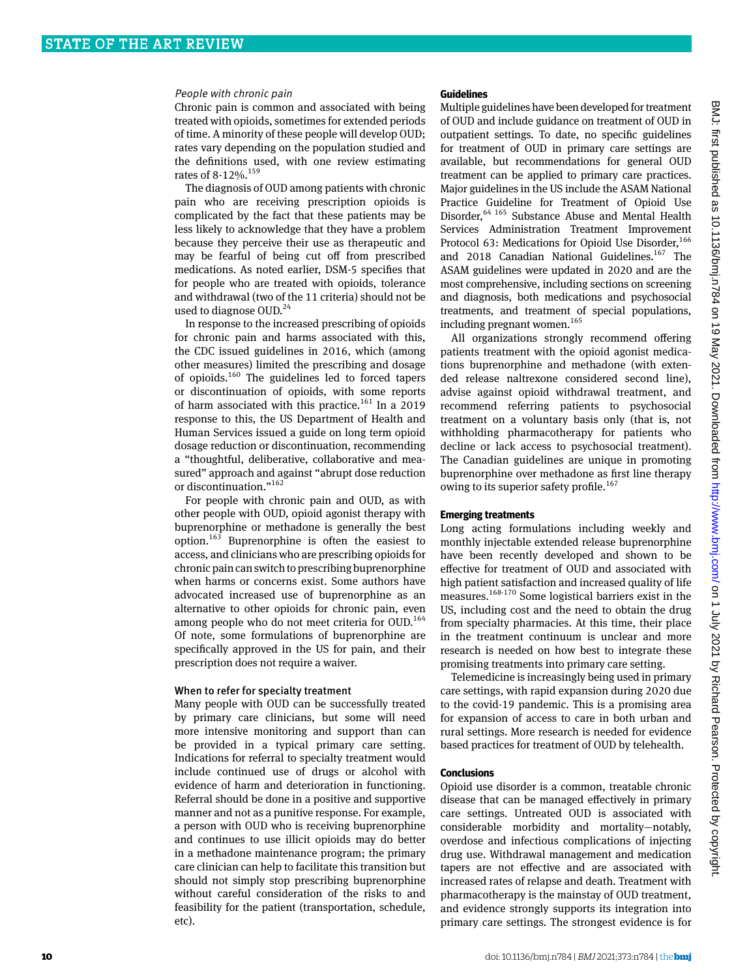#### People with chronic pain

Chronic pain is common and associated with being treated with opioids, sometimes for extended periods of time. A minority of these people will develop OUD; rates vary depending on the population studied and the definitions used, with one review estimating rates of 8-12%.<sup>159</sup>

The diagnosis of OUD among patients with chronic pain who are receiving prescription opioids is complicated by the fact that these patients may be less likely to acknowledge that they have a problem because they perceive their use as therapeutic and may be fearful of being cut off from prescribed medications. As noted earlier, DSM-5 specifies that for people who are treated with opioids, tolerance and withdrawal (two of the 11 criteria) should not be used to diagnose OUD.<sup>24</sup>

In response to the increased prescribing of opioids for chronic pain and harms associated with this, the CDC issued guidelines in 2016, which (among other measures) limited the prescribing and dosage of opioids.160 The guidelines led to forced tapers or discontinuation of opioids, with some reports of harm associated with this practice.<sup>161</sup> In a 2019 response to this, the US Department of Health and Human Services issued a guide on long term opioid dosage reduction or discontinuation, recommending a "thoughtful, deliberative, collaborative and measured" approach and against "abrupt dose reduction or discontinuation."<sup>162</sup>

For people with chronic pain and OUD, as with other people with OUD, opioid agonist therapy with buprenorphine or methadone is generally the best option.163 Buprenorphine is often the easiest to access, and clinicians who are prescribing opioids for chronic pain can switch to prescribing buprenorphine when harms or concerns exist. Some authors have advocated increased use of buprenorphine as an alternative to other opioids for chronic pain, even among people who do not meet criteria for OUD.<sup>164</sup> Of note, some formulations of buprenorphine are specifically approved in the US for pain, and their prescription does not require a waiver.

## When to refer for specialty treatment

Many people with OUD can be successfully treated by primary care clinicians, but some will need more intensive monitoring and support than can be provided in a typical primary care setting. Indications for referral to specialty treatment would include continued use of drugs or alcohol with evidence of harm and deterioration in functioning. Referral should be done in a positive and supportive manner and not as a punitive response. For example, a person with OUD who is receiving buprenorphine and continues to use illicit opioids may do better in a methadone maintenance program; the primary care clinician can help to facilitate this transition but should not simply stop prescribing buprenorphine without careful consideration of the risks to and feasibility for the patient (transportation, schedule, etc).

## **Guidelines**

Multiple guidelines have been developed for treatment of OUD and include guidance on treatment of OUD in outpatient settings. To date, no specific guidelines for treatment of OUD in primary care settings are available, but recommendations for general OUD treatment can be applied to primary care practices. Major guidelines in the US include the ASAM National Practice Guideline for Treatment of Opioid Use Disorder, <sup>64 165</sup> Substance Abuse and Mental Health Services Administration Treatment Improvement Protocol 63: Medications for Opioid Use Disorder,<sup>166</sup> and 2018 Canadian National Guidelines.<sup>167</sup> The ASAM guidelines were updated in 2020 and are the most comprehensive, including sections on screening and diagnosis, both medications and psychosocial treatments, and treatment of special populations, including pregnant women.<sup>165</sup>

All organizations strongly recommend offering patients treatment with the opioid agonist medications buprenorphine and methadone (with extended release naltrexone considered second line), advise against opioid withdrawal treatment, and recommend referring patients to psychosocial treatment on a voluntary basis only (that is, not withholding pharmacotherapy for patients who decline or lack access to psychosocial treatment). The Canadian guidelines are unique in promoting buprenorphine over methadone as first line therapy owing to its superior safety profile.<sup>167</sup>

## **Emerging treatments**

Long acting formulations including weekly and monthly injectable extended release buprenorphine have been recently developed and shown to be effective for treatment of OUD and associated with high patient satisfaction and increased quality of life measures.168-170 Some logistical barriers exist in the US, including cost and the need to obtain the drug from specialty pharmacies. At this time, their place in the treatment continuum is unclear and more research is needed on how best to integrate these promising treatments into primary care setting.

Telemedicine is increasingly being used in primary care settings, with rapid expansion during 2020 due to the covid-19 pandemic. This is a promising area for expansion of access to care in both urban and rural settings. More research is needed for evidence based practices for treatment of OUD by telehealth.

## **Conclusions**

Opioid use disorder is a common, treatable chronic disease that can be managed effectively in primary care settings. Untreated OUD is associated with considerable morbidity and mortality—notably, overdose and infectious complications of injecting drug use. Withdrawal management and medication tapers are not effective and are associated with increased rates of relapse and death. Treatment with pharmacotherapy is the mainstay of OUD treatment, and evidence strongly supports its integration into primary care settings. The strongest evidence is for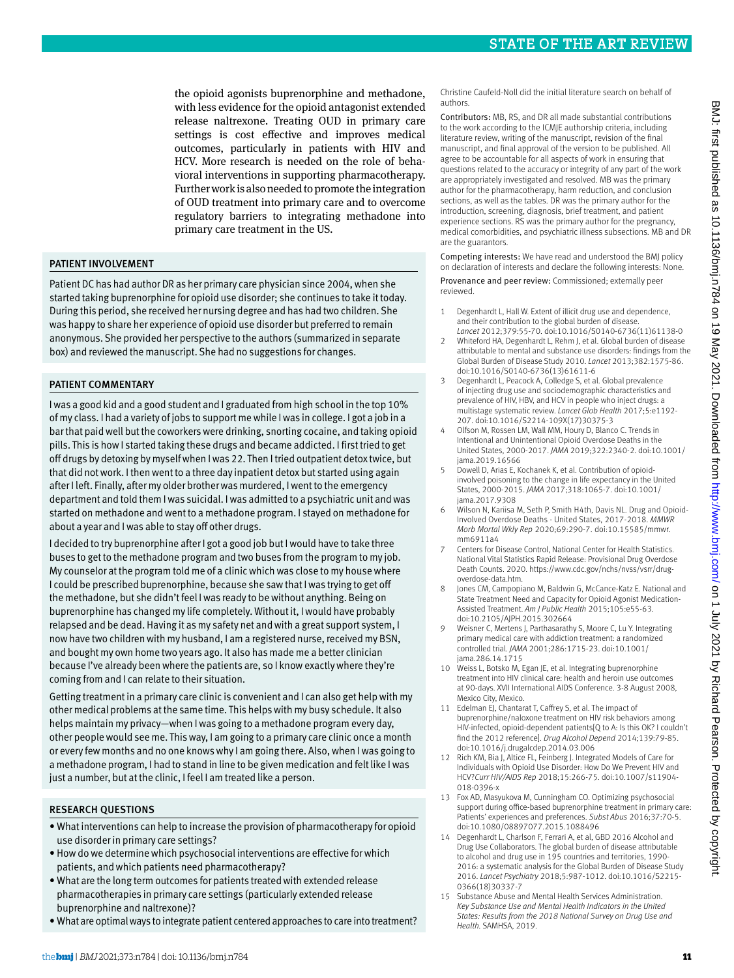the opioid agonists buprenorphine and methadone, with less evidence for the opioid antagonist extended release naltrexone. Treating OUD in primary care settings is cost effective and improves medical outcomes, particularly in patients with HIV and HCV. More research is needed on the role of behavioral interventions in supporting pharmacotherapy. Further work is also needed to promote the integration of OUD treatment into primary care and to overcome regulatory barriers to integrating methadone into primary care treatment in the US.

# PATIENT INVOLVEMENT

Patient DC has had author DR as her primary care physician since 2004, when she started taking buprenorphine for opioid use disorder; she continues to take it today. During this period, she received her nursing degree and has had two children. She was happy to share her experience of opioid use disorder but preferred to remain anonymous. She provided her perspective to the authors (summarized in separate box) and reviewed the manuscript. She had no suggestions for changes.

# PATIENT COMMENTARY

I was a good kid and a good student and I graduated from high school in the top 10% of my class. I had a variety of jobs to support me while I was in college. I got a job in a bar that paid well but the coworkers were drinking, snorting cocaine, and taking opioid pills. This is how I started taking these drugs and became addicted. I first tried to get off drugs by detoxing by myself when I was 22. Then I tried outpatient detox twice, but that did not work. I then went to a three day inpatient detox but started using again after I left. Finally, after my older brother was murdered, I went to the emergency department and told them I was suicidal. I was admitted to a psychiatric unit and was started on methadone and went to a methadone program. I stayed on methadone for about a year and I was able to stay off other drugs.

I decided to try buprenorphine after I got a good job but I would have to take three buses to get to the methadone program and two buses from the program to my job. My counselor at the program told me of a clinic which was close to my house where I could be prescribed buprenorphine, because she saw that I was trying to get off the methadone, but she didn't feel I was ready to be without anything. Being on buprenorphine has changed my life completely. Without it, I would have probably relapsed and be dead. Having it as my safety net and with a great support system, I now have two children with my husband, I am a registered nurse, received my BSN, and bought my own home two years ago. It also has made me a better clinician because I've already been where the patients are, so I know exactly where they're coming from and I can relate to their situation.

Getting treatment in a primary care clinic is convenient and I can also get help with my other medical problems at the same time. This helps with my busy schedule. It also helps maintain my privacy—when I was going to a methadone program every day, other people would see me. This way, I am going to a primary care clinic once a month or every few months and no one knows why I am going there. Also, when I was going to a methadone program, I had to stand in line to be given medication and felt like I was just a number, but at the clinic, I feel I am treated like a person.

# Research questions

- • What interventions can help to increase the provision of pharmacotherapy for opioid use disorder in primary care settings?
- • How do we determine which psychosocial interventions are effective for which patients, and which patients need pharmacotherapy?
- • What are the long term outcomes for patients treated with extended release pharmacotherapies in primary care settings (particularly extended release buprenorphine and naltrexone)?
- • What are optimal ways to integrate patient centered approaches to care into treatment?

Christine Caufeld-Noll did the initial literature search on behalf of authors.

Contributors: MB, RS, and DR all made substantial contributions to the work according to the ICMJE authorship criteria, including literature review, writing of the manuscript, revision of the final manuscript, and final approval of the version to be published. All agree to be accountable for all aspects of work in ensuring that questions related to the accuracy or integrity of any part of the work are appropriately investigated and resolved. MB was the primary author for the pharmacotherapy, harm reduction, and conclusion sections, as well as the tables. DR was the primary author for the introduction, screening, diagnosis, brief treatment, and patient experience sections. RS was the primary author for the pregnancy, medical comorbidities, and psychiatric illness subsections. MB and DR are the guarantors.

Competing interests: We have read and understood the BMJ policy on declaration of interests and declare the following interests: None.

Provenance and peer review: Commissioned; externally peer reviewed.

- 1 Degenhardt L, Hall W. Extent of illicit drug use and dependence, and their contribution to the global burden of disease. *Lancet* 2012;379:55-70. doi:10.1016/S0140-6736(11)61138-0
- 2 Whiteford HA, Degenhardt L, Rehm J, et al. Global burden of disease attributable to mental and substance use disorders: findings from the Global Burden of Disease Study 2010. *Lancet* 2013;382:1575-86. doi:10.1016/S0140-6736(13)61611-6
- Degenhardt L, Peacock A, Colledge S, et al. Global prevalence of injecting drug use and sociodemographic characteristics and prevalence of HIV, HBV, and HCV in people who inject drugs: a multistage systematic review. *Lancet Glob Health* 2017;5:e1192- 207. doi:10.1016/S2214-109X(17)30375-3
- Olfson M, Rossen LM, Wall MM, Houry D, Blanco C. Trends in Intentional and Unintentional Opioid Overdose Deaths in the United States, 2000-2017. *JAMA* 2019;322:2340-2. doi:10.1001/ jama.2019.16566
- 5 Dowell D, Arias E, Kochanek K, et al. Contribution of opioidinvolved poisoning to the change in life expectancy in the United States, 2000-2015. *JAMA* 2017;318:1065-7. doi:10.1001/ jama.2017.9308
- 6 Wilson N, Kariisa M, Seth P, Smith H4th, Davis NL. Drug and Opioid-Involved Overdose Deaths - United States, 2017-2018. *MMWR Morb Mortal Wkly Rep* 2020;69:290-7. doi:10.15585/mmwr. mm6911a4
- 7 Centers for Disease Control, National Center for Health Statistics. National Vital Statistics Rapid Release: Provisional Drug Overdose Death Counts. 2020. [https://www.cdc.gov/nchs/nvss/vsrr/drug](https://www.cdc.gov/nchs/nvss/vsrr/drug-overdose-data.htm)[overdose-data.htm](https://www.cdc.gov/nchs/nvss/vsrr/drug-overdose-data.htm).
- 8 Jones CM, Campopiano M, Baldwin G, McCance-Katz E. National and State Treatment Need and Capacity for Opioid Agonist Medication-Assisted Treatment. *Am J Public Health* 2015;105:e55-63. doi:10.2105/AJPH.2015.302664
- Weisner C, Mertens J, Parthasarathy S, Moore C, Lu Y. Integrating primary medical care with addiction treatment: a randomized controlled trial. *JAMA* 2001;286:1715-23. doi:10.1001/ jama.286.14.1715
- 10 Weiss L, Botsko M, Egan JE, et al. Integrating buprenorphine treatment into HIV clinical care: health and heroin use outcomes at 90-days. XVII International AIDS Conference. 3-8 August 2008, Mexico City, Mexico.
- 11 Edelman EJ, Chantarat T, Caffrey S, et al. The impact of buprenorphine/naloxone treatment on HIV risk behaviors among HIV-infected, opioid-dependent patients[Q to A: Is this OK? I couldn't find the 2012 reference]. *Drug Alcohol Depend* 2014;139:79-85. doi:10.1016/j.drugalcdep.2014.03.006
- 12 Rich KM, Bia J, Altice FL, Feinberg J. Integrated Models of Care for Individuals with Opioid Use Disorder: How Do We Prevent HIV and HCV?*Curr HIV/AIDS Rep* 2018;15:266-75. doi:10.1007/s11904- 018-0396-x
- 13 Fox AD, Masyukova M, Cunningham CO. Optimizing psychosocial support during office-based buprenorphine treatment in primary care: Patients' experiences and preferences. *Subst Abus* 2016;37:70-5. doi:10.1080/08897077.2015.1088496
- 14 Degenhardt L, Charlson F, Ferrari A, et al, GBD 2016 Alcohol and Drug Use Collaborators. The global burden of disease attributable to alcohol and drug use in 195 countries and territories, 1990- 2016: a systematic analysis for the Global Burden of Disease Study 2016. *Lancet Psychiatry* 2018;5:987-1012. doi:10.1016/S2215- 0366(18)30337-7
- 15 Substance Abuse and Mental Health Services Administration. *Key Substance Use and Mental Health Indicators in the United States: Results from the 2018 National Survey on Drug Use and Health.* SAMHSA, 2019.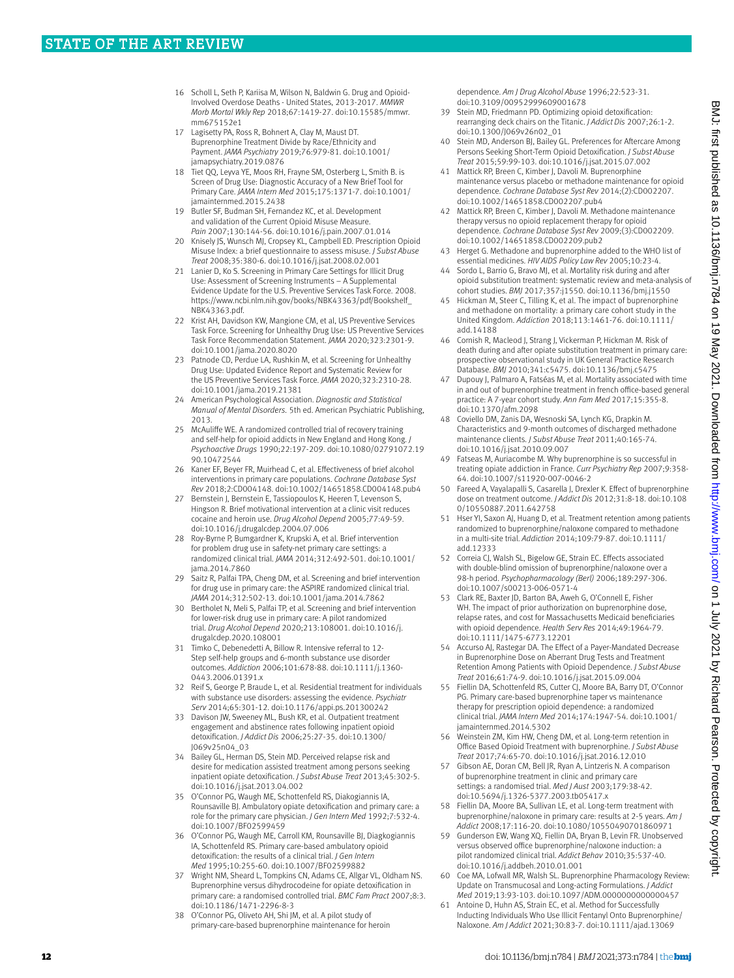- 16 Scholl L, Seth P, Kariisa M, Wilson N, Baldwin G, Drug and Opioid-Involved Overdose Deaths - United States, 2013-2017. *MMWR Morb Mortal Wkly Rep* 2018;67:1419-27. doi:10.15585/mmwr. mm675152e1
- 17 Lagisetty PA, Ross R, Bohnert A, Clay M, Maust DT. Buprenorphine Treatment Divide by Race/Ethnicity and Payment. *JAMA Psychiatry* 2019;76:979-81. doi:10.1001/ amapsychiatry.2019.0876
- 18 Tiet QQ, Leyva YE, Moos RH, Frayne SM, Osterberg L, Smith B. is Screen of Drug Use: Diagnostic Accuracy of a New Brief Tool for Primary Care. *JAMA Intern Med* 2015;175:1371-7. doi:10.1001/ jamainternmed.2015.2438
- 19 Butler SF, Budman SH, Fernandez KC, et al. Development and validation of the Current Opioid Misuse Measure. *Pain* 2007;130:144-56. doi:10.1016/j.pain.2007.01.014
- 20 Knisely JS, Wunsch MJ, Cropsey KL, Campbell ED. Prescription Opioid Misuse Index: a brief questionnaire to assess misuse. *J Subst Abuse Treat* 2008;35:380-6. doi:10.1016/j.jsat.2008.02.001
- Lanier D, Ko S. Screening in Primary Care Settings for Illicit Drug Use: Assessment of Screening Instruments – A Supplemental Evidence Update for the U.S. Preventive Services Task Force. 2008. [https://www.ncbi.nlm.nih.gov/books/NBK43363/pdf/Bookshelf\\_](https://www.ncbi.nlm.nih.gov/books/NBK43363/pdf/Bookshelf_NBK43363.pdf) [NBK43363.pdf.](https://www.ncbi.nlm.nih.gov/books/NBK43363/pdf/Bookshelf_NBK43363.pdf)
- 22 Krist AH, Davidson KW, Mangione CM, et al, US Preventive Services Task Force. Screening for Unhealthy Drug Use: US Preventive Services Task Force Recommendation Statement. *JAMA* 2020;323:2301-9. doi:10.1001/jama.2020.8020
- 23 Patnode CD, Perdue LA, Rushkin M, et al. Screening for Unhealthy Drug Use: Updated Evidence Report and Systematic Review for the US Preventive Services Task Force. *JAMA* 2020;323:2310-28. doi:10.1001/jama.2019.21381
- 24 American Psychological Association. *Diagnostic and Statistical Manual of Mental Disorders.* 5th ed. American Psychiatric Publishing, 2013.
- 25 McAuliffe WE. A randomized controlled trial of recovery training and self-help for opioid addicts in New England and Hong Kong. *J Psychoactive Drugs* 1990;22:197-209. doi:10.1080/02791072.19 90.10472544
- 26 Kaner EF, Beyer FR, Muirhead C, et al. Effectiveness of brief alcohol interventions in primary care populations. *Cochrane Database Syst Rev* 2018;2:CD004148. doi:10.1002/14651858.CD004148.pub4
- 27 Bernstein J, Bernstein E, Tassiopoulos K, Heeren T, Levenson S, Hingson R. Brief motivational intervention at a clinic visit reduces cocaine and heroin use. *Drug Alcohol Depend* 2005;77:49-59. doi:10.1016/j.drugalcdep.2004.07.006
- 28 Roy-Byrne P, Bumgardner K, Krupski A, et al. Brief intervention for problem drug use in safety-net primary care settings: a randomized clinical trial. *JAMA* 2014;312:492-501. doi:10.1001/ jama.2014.7860
- 29 Saitz R, Palfai TPA, Cheng DM, et al. Screening and brief intervention for drug use in primary care: the ASPIRE randomized clinical trial. *JAMA* 2014;312:502-13. doi:10.1001/jama.2014.7862
- 30 Bertholet N, Meli S, Palfai TP, et al. Screening and brief intervention for lower-risk drug use in primary care: A pilot randomized trial. *Drug Alcohol Depend* 2020;213:108001. doi:10.1016/j. drugalcdep.2020.108001
- 31 Timko C, Debenedetti A, Billow R. Intensive referral to 12- Step self-help groups and 6-month substance use disorder outcomes. *Addiction* 2006;101:678-88. doi:10.1111/j.1360- 0443.2006.01391.x
- Reif S, George P, Braude L, et al. Residential treatment for individuals with substance use disorders: assessing the evidence. *Psychiatr Serv* 2014;65:301-12. doi:10.1176/appi.ps.201300242
- 33 Davison JW, Sweeney ML, Bush KR, et al. Outpatient treatment engagement and abstinence rates following inpatient opioid detoxification. *J Addict Dis* 2006;25:27-35. doi:10.1300/ J069v25n04\_03
- 34 Bailey GL, Herman DS, Stein MD. Perceived relapse risk and desire for medication assisted treatment among persons seeking inpatient opiate detoxification. *J Subst Abuse Treat* 2013;45:302-5. doi:10.1016/j.jsat.2013.04.002
- 35 O'Connor PG, Waugh ME, Schottenfeld RS, Diakogiannis IA, Rounsaville BJ. Ambulatory opiate detoxification and primary care: a role for the primary care physician. *J Gen Intern Med* 1992;7:532-4. doi:10.1007/BF02599459
- 36 O'Connor PG, Waugh ME, Carroll KM, Rounsaville BJ, Diagkogiannis IA, Schottenfeld RS. Primary care-based ambulatory opioid detoxification: the results of a clinical trial. *J Gen Intern Med* 1995;10:255-60. doi:10.1007/BF02599882
- 37 Wright NM, Sheard L, Tompkins CN, Adams CE, Allgar VL, Oldham NS. Buprenorphine versus dihydrocodeine for opiate detoxification in primary care: a randomised controlled trial. *BMC Fam Pract* 2007;8:3. doi:10.1186/1471-2296-8-3
- 38 O'Connor PG, Oliveto AH, Shi JM, et al. A pilot study of primary-care-based buprenorphine maintenance for heroin

dependence. *Am J Drug Alcohol Abuse* 1996;22:523-31. doi:10.3109/00952999609001678

- 39 Stein MD, Friedmann PD. Optimizing opioid detoxification: rearranging deck chairs on the Titanic. *J Addict Dis* 2007;26:1-2. doi:10.1300/J069v26n02\_01
- 40 Stein MD, Anderson BJ, Bailey GL. Preferences for Aftercare Among Persons Seeking Short-Term Opioid Detoxification. *J Subst Abuse Treat* 2015;59:99-103. doi:10.1016/j.jsat.2015.07.002
- 41 Mattick RP, Breen C, Kimber J, Davoli M. Buprenorphine maintenance versus placebo or methadone maintenance for opioid dependence. *Cochrane Database Syst Rev* 2014;(2):CD002207. doi:10.1002/14651858.CD002207.pub4
- 42 Mattick RP, Breen C, Kimber J, Davoli M. Methadone maintenance therapy versus no opioid replacement therapy for opioid dependence. *Cochrane Database Syst Rev* 2009;(3):CD002209. doi:10.1002/14651858.CD002209.pub2
- 43 Herget G. Methadone and buprenorphine added to the WHO list of essential medicines. *HIV AIDS Policy Law Rev* 2005;10:23-4.
- Sordo L, Barrio G, Bravo MJ, et al. Mortality risk during and after opioid substitution treatment: systematic review and meta-analysis of cohort studies. *BMJ* 2017;357:j1550. doi:10.1136/bmj.j1550
- 45 Hickman M, Steer C, Tilling K, et al. The impact of buprenorphine and methadone on mortality: a primary care cohort study in the United Kingdom. *Addiction* 2018;113:1461-76. doi:10.1111/ add.14188
- 46 Cornish R, Macleod J, Strang J, Vickerman P, Hickman M. Risk of death during and after opiate substitution treatment in primary care: prospective observational study in UK General Practice Research Database. *BMJ* 2010;341:c5475. doi:10.1136/bmj.c5475
- 47 Dupouy J, Palmaro A, Fatséas M, et al. Mortality associated with time in and out of buprenorphine treatment in french office-based general practice: A 7-year cohort study. *Ann Fam Med* 2017;15:355-8. doi:10.1370/afm.2098
- 48 Coviello DM, Zanis DA, Wesnoski SA, Lynch KG, Drapkin M. Characteristics and 9-month outcomes of discharged methadone maintenance clients. *J Subst Abuse Treat* 2011;40:165-74. doi:10.1016/j.jsat.2010.09.007
- 49 Fatseas M, Auriacombe M. Why buprenorphine is so successful in treating opiate addiction in France. *Curr Psychiatry Rep* 2007;9:358- 64. doi:10.1007/s11920-007-0046-2
- 50 Fareed A, Vayalapalli S, Casarella J, Drexler K. Effect of buprenorphine dose on treatment outcome. *J Addict Dis* 2012;31:8-18. doi:10.108 0/10550887.2011.642758
- 51 Hser YI, Saxon AJ, Huang D, et al. Treatment retention among patients randomized to buprenorphine/naloxone compared to methadone in a multi-site trial. *Addiction* 2014;109:79-87. doi:10.1111/ add.12333
- 52 Correia CJ, Walsh SL, Bigelow GE, Strain EC. Effects associated with double-blind omission of buprenorphine/naloxone over a 98-h period. *Psychopharmacology (Berl)* 2006;189:297-306. doi:10.1007/s00213-006-0571-4
- 53 Clark RE, Baxter JD, Barton BA, Aweh G, O'Connell E, Fisher WH. The impact of prior authorization on buprenorphine dose, relapse rates, and cost for Massachusetts Medicaid beneficiaries with opioid dependence. *Health Serv Res* 2014;49:1964-79. doi:10.1111/1475-6773.12201
- 54 Accurso AJ, Rastegar DA. The Effect of a Payer-Mandated Decrease in Buprenorphine Dose on Aberrant Drug Tests and Treatment Retention Among Patients with Opioid Dependence. *J Subst Abuse Treat* 2016;61:74-9. doi:10.1016/j.jsat.2015.09.004
- 55 Fiellin DA, Schottenfeld RS, Cutter CJ, Moore BA, Barry DT, O'Connor PG. Primary care-based buprenorphine taper vs maintenance therapy for prescription opioid dependence: a randomized clinical trial. *JAMA Intern Med* 2014;174:1947-54. doi:10.1001/ jamainternmed.2014.5302
- 56 Weinstein ZM, Kim HW, Cheng DM, et al. Long-term retention in Office Based Opioid Treatment with buprenorphine. *J Subst Abuse Treat* 2017;74:65-70. doi:10.1016/j.jsat.2016.12.010
- 57 Gibson AE, Doran CM, Bell JR, Ryan A, Lintzeris N. A comparison of buprenorphine treatment in clinic and primary care settings: a randomised trial. *Med J Aust* 2003;179:38-42. doi:10.5694/j.1326-5377.2003.tb05417.x
- 58 Fiellin DA, Moore BA, Sullivan LE, et al. Long-term treatment with buprenorphine/naloxone in primary care: results at 2-5 years. *Am J Addict* 2008;17:116-20. doi:10.1080/10550490701860971
- 59 Gunderson EW, Wang XQ, Fiellin DA, Bryan B, Levin FR. Unobserved versus observed office buprenorphine/naloxone induction: a pilot randomized clinical trial. *Addict Behav* 2010;35:537-40. doi:10.1016/j.addbeh.2010.01.001
- 60 Coe MA, Lofwall MR, Walsh SL. Buprenorphine Pharmacology Review: Update on Transmucosal and Long-acting Formulations. *J Addict Med* 2019;13:93-103. doi:10.1097/ADM.0000000000000457
- 61 Antoine D, Huhn AS, Strain EC, et al. Method for Successfully Inducting Individuals Who Use Illicit Fentanyl Onto Buprenorphine/ Naloxone. *Am J Addict* 2021;30:83-7. doi:10.1111/ajad.13069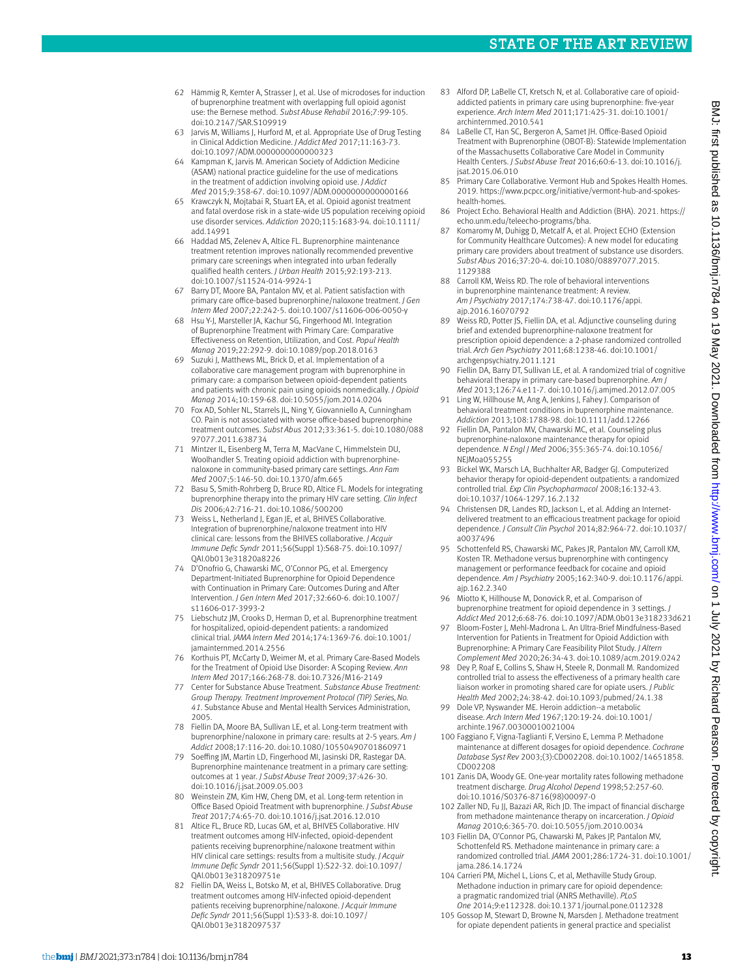- 62 Hämmig R, Kemter A, Strasser J, et al. Use of microdoses for induction of buprenorphine treatment with overlapping full opioid agonist use: the Bernese method. *Subst Abuse Rehabil* 2016;7:99-105. doi:10.2147/SAR.S109919
- 63 Jarvis M, Williams J, Hurford M, et al. Appropriate Use of Drug Testing in Clinical Addiction Medicine. *J Addict Med* 2017;11:163-73. doi:10.1097/ADM.0000000000000323
- Kampman K, Jarvis M. American Society of Addiction Medicine (ASAM) national practice guideline for the use of medications in the treatment of addiction involving opioid use. *J Addict Med* 2015;9:358-67. doi:10.1097/ADM.0000000000000166
- 65 Krawczyk N, Mojtabai R, Stuart EA, et al. Opioid agonist treatment and fatal overdose risk in a state-wide US population receiving opioid use disorder services. *Addiction* 2020;115:1683-94. doi:10.1111/ add.14991
- Haddad MS, Zelenev A, Altice FL. Buprenorphine maintenance treatment retention improves nationally recommended preventive primary care screenings when integrated into urban federally qualified health centers. *J Urban Health* 2015;92:193-213. doi:10.1007/s11524-014-9924-1
- 67 Barry DT, Moore BA, Pantalon MV, et al. Patient satisfaction with primary care office-based buprenorphine/naloxone treatment. *J Gen Intern Med* 2007;22:242-5. doi:10.1007/s11606-006-0050-y
- Hsu Y-J, Marsteller JA, Kachur SG, Fingerhood MI. Integration of Buprenorphine Treatment with Primary Care: Comparative Effectiveness on Retention, Utilization, and Cost. *Popul Health Manag* 2019;22:292-9. doi:10.1089/pop.2018.0163
- 69 Suzuki J, Matthews ML, Brick D, et al. Implementation of a collaborative care management program with buprenorphine in primary care: a comparison between opioid-dependent patients and patients with chronic pain using opioids nonmedically. *J Opioid Manag* 2014;10:159-68. doi:10.5055/jom.2014.0204
- 70 Fox AD, Sohler NL, Starrels JL, Ning Y, Giovanniello A, Cunningham CO. Pain is not associated with worse office-based buprenorphine treatment outcomes. *Subst Abus* 2012;33:361-5. doi:10.1080/088 97077.2011.638734
- Mintzer IL, Eisenberg M, Terra M, MacVane C, Himmelstein DU, Woolhandler S. Treating opioid addiction with buprenorphinenaloxone in community-based primary care settings. *Ann Fam Med* 2007;5:146-50. doi:10.1370/afm.665
- Basu S, Smith-Rohrberg D, Bruce RD, Altice FL. Models for integrating buprenorphine therapy into the primary HIV care setting. *Clin Infect Dis* 2006;42:716-21. doi:10.1086/500200
- 73 Weiss L, Netherland J, Egan JE, et al, BHIVES Collaborative. Integration of buprenorphine/naloxone treatment into HIV clinical care: lessons from the BHIVES collaborative. *J Acquir Immune Defic Syndr* 2011;56(Suppl 1):S68-75. doi:10.1097/ QAI.0b013e31820a8226
- 74 D'Onofrio G, Chawarski MC, O'Connor PG, et al. Emergency Department-Initiated Buprenorphine for Opioid Dependence with Continuation in Primary Care: Outcomes During and After Intervention. *J Gen Intern Med* 2017;32:660-6. doi:10.1007/ s11606-017-3993-2
- 75 Liebschutz JM, Crooks D, Herman D, et al. Buprenorphine treatment for hospitalized, opioid-dependent patients: a randomized clinical trial. *JAMA Intern Med* 2014;174:1369-76. doi:10.1001/ jamainternmed.2014.2556
- 76 Korthuis PT, McCarty D, Weimer M, et al. Primary Care-Based Models for the Treatment of Opioid Use Disorder: A Scoping Review. *Ann Intern Med* 2017;166:268-78. doi:10.7326/M16-2149
- 77 Center for Substance Abuse Treatment. *Substance Abuse Treatment: Group Therapy. Treatment Improvement Protocol (TIP) Series, No. 41.* Substance Abuse and Mental Health Services Administration, 2005.
- 78 Fiellin DA, Moore BA, Sullivan LE, et al. Long-term treatment with buprenorphine/naloxone in primary care: results at 2-5 years. *Am J Addict* 2008;17:116-20. doi:10.1080/10550490701860971
- 79 Soeffing JM, Martin LD, Fingerhood MI, Jasinski DR, Rastegar DA. Buprenorphine maintenance treatment in a primary care setting: outcomes at 1 year. *J Subst Abuse Treat* 2009;37:426-30. doi:10.1016/j.jsat.2009.05.003
- 80 Weinstein ZM, Kim HW, Cheng DM, et al. Long-term retention in Office Based Opioid Treatment with buprenorphine. *J Subst Abuse Treat* 2017;74:65-70. doi:10.1016/j.jsat.2016.12.010
- 81 Altice FL, Bruce RD, Lucas GM, et al, BHIVES Collaborative. HIV treatment outcomes among HIV-infected, opioid-dependent patients receiving buprenorphine/naloxone treatment within HIV clinical care settings: results from a multisite study. *J Acquir Immune Defic Syndr* 2011;56(Suppl 1):S22-32. doi:10.1097/ QAI.0b013e318209751e
- 82 Fiellin DA, Weiss L, Botsko M, et al, BHIVES Collaborative. Drug treatment outcomes among HIV-infected opioid-dependent patients receiving buprenorphine/naloxone. *J Acquir Immune Defic Syndr* 2011;56(Suppl 1):S33-8. doi:10.1097/ QAI.0b013e3182097537
- 83 Alford DP, LaBelle CT, Kretsch N, et al. Collaborative care of opioidaddicted patients in primary care using buprenorphine: five-year experience. *Arch Intern Med* 2011;171:425-31. doi:10.1001/ archinternmed.2010.541
- 84 LaBelle CT, Han SC, Bergeron A, Samet JH. Office-Based Opioid Treatment with Buprenorphine (OBOT-B): Statewide Implementation of the Massachusetts Collaborative Care Model in Community Health Centers. *J Subst Abuse Treat* 2016;60:6-13. doi:10.1016/j. jsat.2015.06.010
- 85 Primary Care Collaborative. Vermont Hub and Spokes Health Homes. 2019. [https://www.pcpcc.org/initiative/vermont-hub-and-spokes](https://www.pcpcc.org/initiative/vermont-hub-and-spokes-health-homes)[health-homes](https://www.pcpcc.org/initiative/vermont-hub-and-spokes-health-homes).
- 86 Project Echo. Behavioral Health and Addiction (BHA). 2021. [https://](https://echo.unm.edu/teleecho-programs/bha) [echo.unm.edu/teleecho-programs/bha](https://echo.unm.edu/teleecho-programs/bha).
- 87 Komaromy M, Duhigg D, Metcalf A, et al. Project ECHO (Extension for Community Healthcare Outcomes): A new model for educating primary care providers about treatment of substance use disorders. *Subst Abus* 2016;37:20-4. doi:10.1080/08897077.2015. 1129388
- 88 Carroll KM, Weiss RD. The role of behavioral interventions in buprenorphine maintenance treatment: A review. *Am J Psychiatry* 2017;174:738-47. doi:10.1176/appi. ajp.2016.16070792
- 89 Weiss RD, Potter JS, Fiellin DA, et al. Adjunctive counseling during brief and extended buprenorphine-naloxone treatment for prescription opioid dependence: a 2-phase randomized controlled trial. *Arch Gen Psychiatry* 2011;68:1238-46. doi:10.1001/ archgenpsychiatry.2011.121
- 90 Fiellin DA, Barry DT, Sullivan LE, et al. A randomized trial of cognitive behavioral therapy in primary care-based buprenorphine. *Am J Med* 2013;126:74.e11-7. doi:10.1016/j.amjmed.2012.07.005
- 91 Ling W, Hillhouse M, Ang A, Jenkins J, Fahey J. Comparison of behavioral treatment conditions in buprenorphine maintenance. *Addiction* 2013;108:1788-98. doi:10.1111/add.12266
- 92 Fiellin DA, Pantalon MV, Chawarski MC, et al. Counseling plus buprenorphine-naloxone maintenance therapy for opioid dependence. *N Engl J Med* 2006;355:365-74. doi:10.1056/ NEJMoa055255
- 93 Bickel WK, Marsch LA, Buchhalter AR, Badger GJ. Computerized behavior therapy for opioid-dependent outpatients: a randomized controlled trial. *Exp Clin Psychopharmacol* 2008;16:132-43. doi:10.1037/1064-1297.16.2.132
- 94 Christensen DR, Landes RD, Jackson L, et al. Adding an Internetdelivered treatment to an efficacious treatment package for opioid dependence. *J Consult Clin Psychol* 2014;82:964-72. doi:10.1037/ a0037496
- 95 Schottenfeld RS, Chawarski MC, Pakes JR, Pantalon MV, Carroll KM, Kosten TR. Methadone versus buprenorphine with contingency management or performance feedback for cocaine and opioid dependence. *Am J Psychiatry* 2005;162:340-9. doi:10.1176/appi. ajp.162.2.340
- 96 Miotto K, Hillhouse M, Donovick R, et al. Comparison of buprenorphine treatment for opioid dependence in 3 settings. *J Addict Med* 2012;6:68-76. doi:10.1097/ADM.0b013e318233d621
- 97 Bloom-Foster J, Mehl-Madrona L. An Ultra-Brief Mindfulness-Based Intervention for Patients in Treatment for Opioid Addiction with Buprenorphine: A Primary Care Feasibility Pilot Study. *J Altern Complement Med* 2020;26:34-43. doi:10.1089/acm.2019.0242
- 98 Dey P, Roaf E, Collins S, Shaw H, Steele R, Donmall M. Randomized controlled trial to assess the effectiveness of a primary health care liaison worker in promoting shared care for opiate users. *J Public Health Med* 2002;24:38-42. doi:10.1093/pubmed/24.1.38
- Dole VP, Nyswander ME. Heroin addiction--a metabolic disease. *Arch Intern Med* 1967;120:19-24. doi:10.1001/ archinte.1967.00300010021004
- 100 Faggiano F, Vigna-Taglianti F, Versino E, Lemma P. Methadone maintenance at different dosages for opioid dependence. *Cochrane Database Syst Rev* 2003;(3):CD002208. doi:10.1002/14651858. CD002208
- 101 Zanis DA, Woody GE. One-year mortality rates following methadone treatment discharge. *Drug Alcohol Depend* 1998;52:257-60. doi:10.1016/S0376-8716(98)00097-0
- 102 Zaller ND, Fu JJ, Bazazi AR, Rich JD. The impact of financial discharge from methadone maintenance therapy on incarceration. *J Opioid Manag* 2010;6:365-70. doi:10.5055/jom.2010.0034
- 103 Fiellin DA, O'Connor PG, Chawarski M, Pakes JP, Pantalon MV, Schottenfeld RS. Methadone maintenance in primary care: a randomized controlled trial. *JAMA* 2001;286:1724-31. doi:10.1001/ jama.286.14.1724
- 104 Carrieri PM, Michel L, Lions C, et al, Methaville Study Group. Methadone induction in primary care for opioid dependence: a pragmatic randomized trial (ANRS Methaville). *PLoS One* 2014;9:e112328. doi:10.1371/journal.pone.0112328
- 105 Gossop M, Stewart D, Browne N, Marsden J. Methadone treatment for opiate dependent patients in general practice and specialist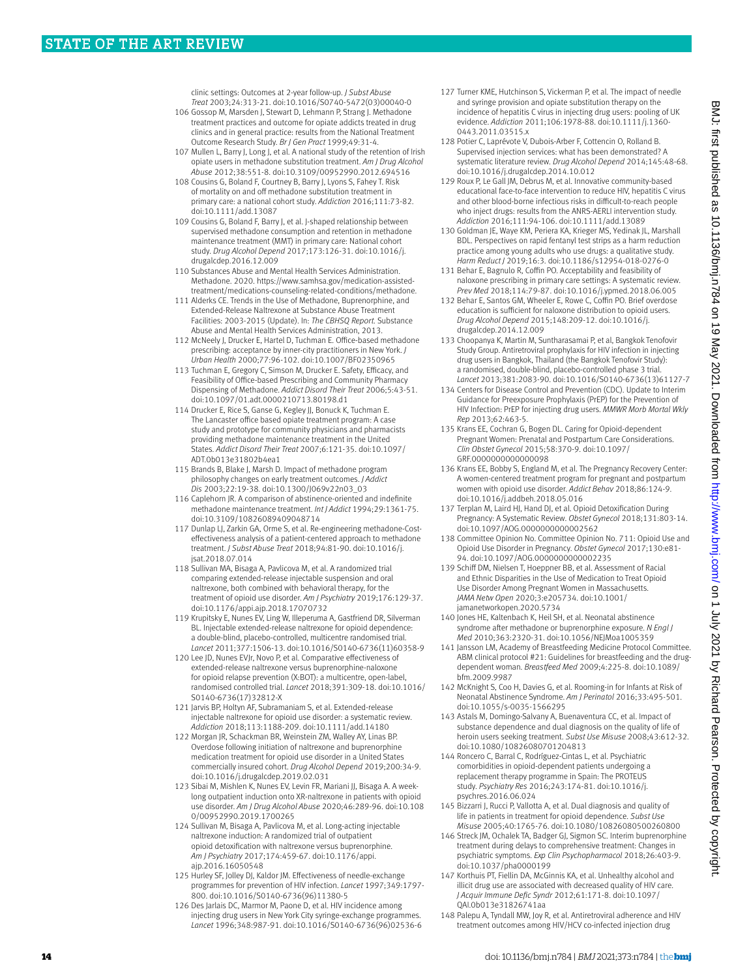clinic settings: Outcomes at 2-year follow-up. *J Subst Abuse Treat* 2003;24:313-21. doi:10.1016/S0740-5472(03)00040-0

- 106 Gossop M, Marsden J, Stewart D, Lehmann P, Strang J. Methadone treatment practices and outcome for opiate addicts treated in drug clinics and in general practice: results from the National Treatment Outcome Research Study. *Br J Gen Pract* 1999;49:31-4.
- 107 Mullen L, Barry J, Long J, et al. A national study of the retention of Irish opiate users in methadone substitution treatment. *Am J Drug Alcohol Abuse* 2012;38:551-8. doi:10.3109/00952990.2012.694516
- 108 Cousins G, Boland F, Courtney B, Barry J, Lyons S, Fahey T. Risk of mortality on and off methadone substitution treatment in primary care: a national cohort study. *Addiction* 2016;111:73-82. doi:10.1111/add.13087
- 109 Cousins G, Boland F, Barry J, et al. J-shaped relationship between supervised methadone consumption and retention in methadone maintenance treatment (MMT) in primary care: National cohort study. *Drug Alcohol Depend* 2017;173:126-31. doi:10.1016/j. drugalcdep.2016.12.009
- 110 Substances Abuse and Mental Health Services Administration. Methadone. 2020. [https://www.samhsa.gov/medication-assisted](https://www.samhsa.gov/medication-assisted-treatment/medications-counseling-related-conditions/methadone)[treatment/medications-counseling-related-conditions/methadone.](https://www.samhsa.gov/medication-assisted-treatment/medications-counseling-related-conditions/methadone)
- 111 Alderks CE. Trends in the Use of Methadone, Buprenorphine, and Extended-Release Naltrexone at Substance Abuse Treatment Facilities: 2003-2015 (Update). In: *The CBHSQ Report.* Substance Abuse and Mental Health Services Administration, 2013.
- 112 McNeely J, Drucker E, Hartel D, Tuchman E. Office-based methadone prescribing: acceptance by inner-city practitioners in New York. *J Urban Health* 2000;77:96-102. doi:10.1007/BF02350965
- 113 Tuchman E, Gregory C, Simson M, Drucker E. Safety, Efficacy, and Feasibility of Office-based Prescribing and Community Pharmacy Dispensing of Methadone. *Addict Disord Their Treat* 2006;5:43-51. doi:10.1097/01.adt.0000210713.80198.d1
- 114 Drucker E, Rice S, Ganse G, Kegley JJ, Bonuck K, Tuchman E. The Lancaster office based opiate treatment program: A case study and prototype for community physicians and pharmacists providing methadone maintenance treatment in the United States. *Addict Disord Their Treat* 2007;6:121-35. doi:10.1097/ ADT.0b013e31802b4ea1
- 115 Brands B, Blake J, Marsh D. Impact of methadone program philosophy changes on early treatment outcomes. *J Addict Dis* 2003;22:19-38. doi:10.1300/J069v22n03\_03
- 116 Caplehorn JR. A comparison of abstinence-oriented and indefinite methadone maintenance treatment. *Int J Addict* 1994;29:1361-75. doi:10.3109/10826089409048714
- 117 Dunlap LJ, Zarkin GA, Orme S, et al. Re-engineering methadone-Costeffectiveness analysis of a patient-centered approach to methadone treatment. *J Subst Abuse Treat* 2018;94:81-90. doi:10.1016/j. jsat.2018.07.014
- 118 Sullivan MA, Bisaga A, Pavlicova M, et al. A randomized trial comparing extended-release injectable suspension and oral naltrexone, both combined with behavioral therapy, for the treatment of opioid use disorder. *Am J Psychiatry* 2019;176:129-37. doi:10.1176/appi.ajp.2018.17070732
- 119 Krupitsky E, Nunes EV, Ling W, Illeperuma A, Gastfriend DR, Silverman BL. Injectable extended-release naltrexone for opioid dependence: a double-blind, placebo-controlled, multicentre randomised trial. *Lancet* 2011;377:1506-13. doi:10.1016/S0140-6736(11)60358-9
- 120 Lee JD, Nunes EVJr, Novo P, et al. Comparative effectiveness of extended-release naltrexone versus buprenorphine-naloxone for opioid relapse prevention (X:BOT): a multicentre, open-label, randomised controlled trial. *Lancet* 2018;391:309-18. doi:10.1016/ S0140-6736(17)32812-X
- 121 Jarvis BP, Holtyn AF, Subramaniam S, et al. Extended-release injectable naltrexone for opioid use disorder: a systematic review. *Addiction* 2018;113:1188-209. doi:10.1111/add.14180
- 122 Morgan JR, Schackman BR, Weinstein ZM, Walley AY, Linas BP. Overdose following initiation of naltrexone and buprenorphine medication treatment for opioid use disorder in a United States commercially insured cohort. *Drug Alcohol Depend* 2019;200:34-9. doi:10.1016/j.drugalcdep.2019.02.031
- 123 Sibai M, Mishlen K, Nunes EV, Levin FR, Mariani JJ, Bisaga A. A weeklong outpatient induction onto XR-naltrexone in patients with opioid use disorder. *Am J Drug Alcohol Abuse* 2020;46:289-96. doi:10.108 0/00952990.2019.1700265
- 124 Sullivan M, Bisaga A, Pavlicova M, et al. Long-acting injectable naltrexone induction: A randomized trial of outpatient opioid detoxification with naltrexone versus buprenorphine. *Am J Psychiatry* 2017;174:459-67. doi:10.1176/appi. ajp.2016.16050548
- 125 Hurley SF, Jolley DJ, Kaldor JM. Effectiveness of needle-exchange programmes for prevention of HIV infection. *Lancet* 1997;349:1797- 800. doi:10.1016/S0140-6736(96)11380-5
- 126 Des Jarlais DC, Marmor M, Paone D, et al. HIV incidence among injecting drug users in New York City syringe-exchange programmes. *Lancet* 1996;348:987-91. doi:10.1016/S0140-6736(96)02536-6
- 127 Turner KME, Hutchinson S, Vickerman P, et al. The impact of needle and syringe provision and opiate substitution therapy on the incidence of hepatitis C virus in injecting drug users: pooling of UK evidence. *Addiction* 2011;106:1978-88. doi:10.1111/j.1360- 0443.2011.03515.x
- 128 Potier C, Laprévote V, Dubois-Arber F, Cottencin O, Rolland B. Supervised injection services: what has been demonstrated? A systematic literature review. *Drug Alcohol Depend* 2014;145:48-68. doi:10.1016/j.drugalcdep.2014.10.012
- 129 Roux P, Le Gall JM, Debrus M, et al. Innovative community-based educational face-to-face intervention to reduce HIV, hepatitis C virus and other blood-borne infectious risks in difficult-to-reach people who inject drugs: results from the ANRS-AERLI intervention study. *Addiction* 2016;111:94-106. doi:10.1111/add.13089
- 130 Goldman JE, Waye KM, Periera KA, Krieger MS, Yedinak JL, Marshall BDL. Perspectives on rapid fentanyl test strips as a harm reduction practice among young adults who use drugs: a qualitative study. *Harm Reduct J* 2019;16:3. doi:10.1186/s12954-018-0276-0
- 131 Behar E, Bagnulo R, Coffin PO. Acceptability and feasibility of naloxone prescribing in primary care settings: A systematic review. *Prev Med* 2018;114:79-87. doi:10.1016/j.ypmed.2018.06.005
- 132 Behar E, Santos GM, Wheeler E, Rowe C, Coffin PO. Brief overdose education is sufficient for naloxone distribution to opioid users. *Drug Alcohol Depend* 2015;148:209-12. doi:10.1016/j. drugalcdep.2014.12.009
- 133 Choopanya K, Martin M, Suntharasamai P, et al, Bangkok Tenofovir Study Group. Antiretroviral prophylaxis for HIV infection in injecting drug users in Bangkok, Thailand (the Bangkok Tenofovir Study): a randomised, double-blind, placebo-controlled phase 3 trial. *Lancet* 2013;381:2083-90. doi:10.1016/S0140-6736(13)61127-7
- 134 Centers for Disease Control and Prevention (CDC). Update to Interim Guidance for Preexposure Prophylaxis (PrEP) for the Prevention of HIV Infection: PrEP for injecting drug users. *MMWR Morb Mortal Wkly Rep* 2013;62:463-5.
- 135 Krans EE, Cochran G, Bogen DL. Caring for Opioid-dependent Pregnant Women: Prenatal and Postpartum Care Considerations. *Clin Obstet Gynecol* 2015;58:370-9. doi:10.1097/ GRF.0000000000000098
- 136 Krans EE, Bobby S, England M, et al. The Pregnancy Recovery Center: A women-centered treatment program for pregnant and postpartum women with opioid use disorder. *Addict Behav* 2018;86:124-9. doi:10.1016/j.addbeh.2018.05.016
- 137 Terplan M, Laird HJ, Hand DJ, et al. Opioid Detoxification During Pregnancy: A Systematic Review. *Obstet Gynecol* 2018;131:803-14. doi:10.1097/AOG.0000000000002562
- 138 Committee Opinion No. Committee Opinion No. 711: Opioid Use and Opioid Use Disorder in Pregnancy. *Obstet Gynecol* 2017;130:e81- 94. doi:10.1097/AOG.0000000000002235
- 139 Schiff DM, Nielsen T, Hoeppner BB, et al. Assessment of Racial and Ethnic Disparities in the Use of Medication to Treat Opioid Use Disorder Among Pregnant Women in Massachusetts. *JAMA Netw Open* 2020;3:e205734. doi:10.1001/ jamanetworkopen.2020.5734
- 140 Jones HE, Kaltenbach K, Heil SH, et al. Neonatal abstinence syndrome after methadone or buprenorphine exposure. *N Engl J Med* 2010;363:2320-31. doi:10.1056/NEJMoa1005359
- 141 Jansson LM, Academy of Breastfeeding Medicine Protocol Committee. ABM clinical protocol #21: Guidelines for breastfeeding and the drugdependent woman. *Breastfeed Med* 2009;4:225-8. doi:10.1089/ bfm.2009.9987
- 142 McKnight S, Coo H, Davies G, et al. Rooming-in for Infants at Risk of Neonatal Abstinence Syndrome. *Am J Perinatol* 2016;33:495-501. doi:10.1055/s-0035-1566295
- 143 Astals M, Domingo-Salvany A, Buenaventura CC, et al. Impact of substance dependence and dual diagnosis on the quality of life of heroin users seeking treatment. *Subst Use Misuse* 2008;43:612-32. doi:10.1080/10826080701204813
- 144 Roncero C, Barral C, Rodríguez-Cintas L, et al. Psychiatric comorbidities in opioid-dependent patients undergoing a replacement therapy programme in Spain: The PROTEUS study. *Psychiatry Res* 2016;243:174-81. doi:10.1016/j. psychres.2016.06.024
- 145 Bizzarri J, Rucci P, Vallotta A, et al. Dual diagnosis and quality of life in patients in treatment for opioid dependence. *Subst Use Misuse* 2005;40:1765-76. doi:10.1080/10826080500260800
- 146 Streck JM, Ochalek TA, Badger GJ, Sigmon SC. Interim buprenorphine treatment during delays to comprehensive treatment: Changes in psychiatric symptoms. *Exp Clin Psychopharmacol* 2018;26:403-9. doi:10.1037/pha0000199
- 147 Korthuis PT, Fiellin DA, McGinnis KA, et al. Unhealthy alcohol and illicit drug use are associated with decreased quality of HIV care. *J Acquir Immune Defic Syndr* 2012;61:171-8. doi:10.1097/ QAI.0b013e31826741aa
- 148 Palepu A, Tyndall MW, Joy R, et al. Antiretroviral adherence and HIV treatment outcomes among HIV/HCV co-infected injection drug